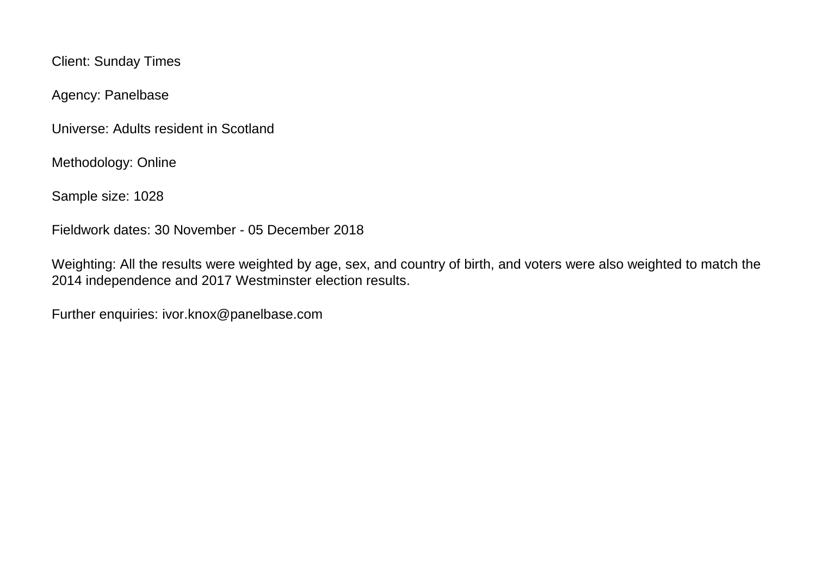Client: Sunday Times

Agency: Panelbase

Universe: Adults resident in Scotland

Methodology: Online

Sample size: 1028

Fieldwork dates: 30 November - 05 December 2018

Weighting: All the results were weighted by age, sex, and country of birth, and voters were also weighted to match the 2014 independence and 2017 Westminster election results.

Further enquiries: ivor.knox@panelbase.com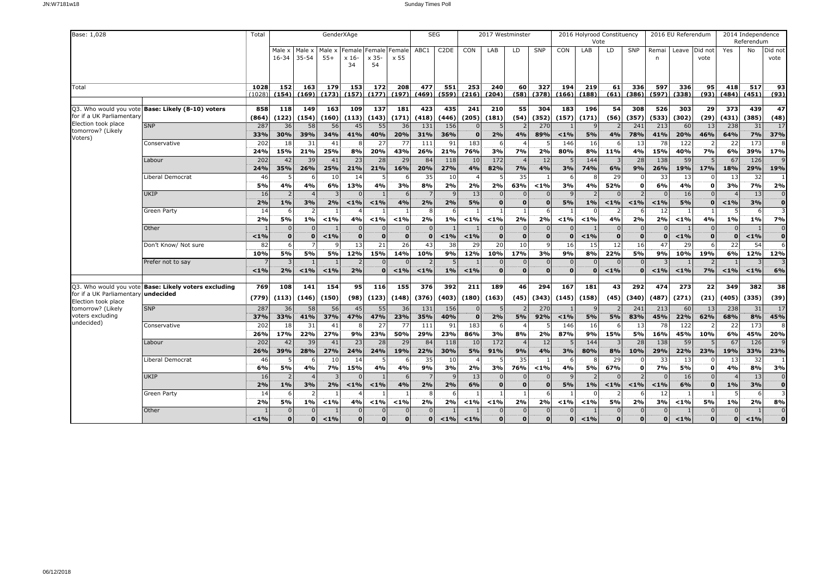| Base: 1,028                                         |                                            | Total      |                 |                   | GenderXAge      |                         |                        |              | <b>SEG</b>     |                   |              | 2017 Westminster |                |              |          | 2016 Holyrood Constituency |                      |                          |                | 2016 EU Referendum |          |                | 2014 Independence |                      |
|-----------------------------------------------------|--------------------------------------------|------------|-----------------|-------------------|-----------------|-------------------------|------------------------|--------------|----------------|-------------------|--------------|------------------|----------------|--------------|----------|----------------------------|----------------------|--------------------------|----------------|--------------------|----------|----------------|-------------------|----------------------|
|                                                     |                                            |            |                 |                   |                 |                         |                        |              |                |                   |              |                  |                |              |          | Vote                       |                      |                          |                |                    |          |                | Referendum        |                      |
|                                                     |                                            |            | Male x<br>16-34 | Male x<br>35-54   | Male x<br>$55+$ | Female<br>$x 16-$       | Female Female<br>x 35- | x 55         | ABC1           | C <sub>2</sub> DE | CON          | LAB              | LD             | SNP          | CON      | LAB                        | LD                   | SNP                      | Remai<br>n     | Leave   Did not    | vote     | Yes            | No                | Did not<br>vote      |
|                                                     |                                            |            |                 |                   |                 | 34                      | 54                     |              |                |                   |              |                  |                |              |          |                            |                      |                          |                |                    |          |                |                   |                      |
|                                                     |                                            |            |                 |                   |                 |                         |                        |              |                |                   |              |                  |                |              |          |                            |                      |                          |                |                    |          |                |                   |                      |
| Total                                               |                                            | 1028       | 152             | 163               | 179             | 153                     | 172                    | 208          | 477            | 551               | 253          | 240              | 60             | 327          | 194      | 219                        | 61                   | 336                      | 597            | 336                | 95       | 418            | 517               | 93                   |
|                                                     |                                            | (1028      | (154)           | (169)             | (173)           | (157)                   | (177)                  | (197)        | (469)          | (559)             | (216)        | (204)            |                | $(58)$ (378) | (166)    | (188)                      |                      | $(61)$ (386)             | (597)          | (338)              | (93)     | (484)          | (451)             | (93)                 |
| Q3. Who would you vote                              | Base: Likely (8-10) voters                 | 858        | 118             | 149               | 163             | 109                     | 137                    | 181          | 423            | 435               | 241          | 210              | 55             | 304          | 183      | 196                        | 54                   | 308                      | 526            | 303                | 29       | 373            | 439               | 47                   |
| for if a UK Parliamentary                           |                                            | (864)      | (122)           | (154)             | (160)           | (113)                   | (143)                  | (171)        | (418)          | (446)             | (205)        | (181)            | (54)           | (352)        | (157)    | (171)                      | (56)                 | (357)                    | (533)          | (302)              | (29)     | (431)          | (385)             | (48)                 |
| Election took place                                 | <b>SNP</b>                                 | 287        | 36              | 58                | 56              | 45                      | 55                     | 36           | 131            | 156               |              |                  |                | 270          |          |                            |                      | 241                      | 213            | 60                 | 13       | 238            | 31                | 17                   |
| tomorrow? (Likely                                   |                                            | 33%        | 30%             | 39%               | 34%             | 41%                     | 40%                    | 20%          | 31%            | 36%               | $\mathbf{0}$ | 2%               | 4%             | 89%          | $1\%$    | 5%                         | 4%                   | 78%                      | 41%            | 20%                | 46%      | 64%            | 7%                | 37%                  |
| Voters)                                             | Conservative                               | 202        | 18              | 31                | 41              | 8                       | 27                     | 77           | 111            | 91                | 183          |                  |                |              | 146      | 16                         | 6                    | 13                       | 78             | 122                |          | 22             | 173               | 8                    |
|                                                     |                                            | 24%        | 15%             | 21%               | 25%             | 8%                      | 20%                    | 43%          | 26%            | 21%               | 76%          | 3%               | 7%             | 2%           | 80%      | 8%                         | 11%                  | 4%                       | 15%            | 40%                | 7%       | 6%             | 39%               | 17%                  |
|                                                     | Labour                                     | 202        | 42              | 39                | 41              | 23                      | 28                     | 29           | 84             | 118               | 10           | 172              |                | 12           |          | 144                        | 3                    | 28                       | 138            | 59                 |          | 67             | 126               |                      |
|                                                     |                                            | 24%        | 35%             | 26%               | 25%             | 21%                     | 21%                    | 16%          | 20%            | 27%               | 4%           | 82%              | 7%             | 4%           | 3%       | 74%                        | 6%                   | 9%                       | 26%            | 19%                | 17%      | 18%            | 29%               | 19%                  |
|                                                     | Liberal Democrat                           | 46<br>5%   | 4%              | 4%                | 10<br>6%        | 14<br>13%               | -5<br>4%               | 3%           | 35<br>8%       | 10<br>2%          | 2%           | 2%               | 35<br>63%      | $< 1\%$      | 3%       | -8<br>4%                   | 29<br>52%            | $\Omega$<br>$\mathbf{0}$ | 33<br>6%       | 13<br>4%           | $\Omega$ | 13<br>3%       | 32<br>7%          | 2%                   |
|                                                     | UKIP                                       | 16         |                 |                   |                 | $\Omega$                |                        |              | $\overline{7}$ |                   | 13           |                  | $\Omega$       |              |          |                            | $\Omega$             | $\overline{\phantom{0}}$ | $\Omega$       | 16                 |          |                | 13                |                      |
|                                                     |                                            | 2%         | 1%              | 3%                | 2%              | $ 1\% $                 | $< 1\%$                | 4%           | 2%             | 2%                | 5%           | $\Omega$         | $\Omega$       |              | 5%       | $1\%$                      | < 1%                 | $< 1\%$                  | $< 1\%$        | 5%                 |          | $< 1\%$        | 3%                | $\Omega$             |
|                                                     | Green Party                                | 14         |                 |                   |                 |                         |                        |              | 8              |                   |              |                  | $\overline{1}$ |              |          |                            |                      |                          | 12             |                    |          | 5              | -6                |                      |
|                                                     |                                            | 2%         | 5%              | 1%                | < 1%            | 4%                      | < 1%                   | < 1%         | 2%             | 1%                | < 1%         | $< 1\%$          | 2%             | 2%           | $< 1\%$  | $< 1\%$                    | 4%                   | 2%                       | 2%             | $< 1\%$            | 4%       | 1%             | 1%                | 7%                   |
|                                                     | Other                                      |            |                 | $\Omega$          |                 | $\Omega$                | $\Omega$               | $\Omega$     | $\Omega$       |                   |              |                  | $\Omega$       |              |          |                            | $\Omega$             | $\Omega$                 | $\Omega$       |                    |          | $\Omega$       |                   | $\Omega$             |
|                                                     |                                            | < 1%       | $\mathbf 0$     | 0                 | < 1%            | $\mathbf 0$             | $\mathbf{0}$           | $\mathbf{0}$ | $\mathbf 0$    | $1\%$             | $< 1\%$      | $\mathbf 0$      | $\mathbf 0$    | $\Omega$     | $\Omega$ | $< 1\%$                    | $\mathbf{o}$         | $\mathbf{0}$             | $\Omega$       | $< 1\%$            | $\Omega$ | $\mathbf 0$    | $< 1\%$           | $\mathbf 0$          |
|                                                     | Don't Know/ Not sure                       | 82<br>10%  | 5%              | 5%                | 5%              | 13<br>12%               | 21<br>15%              | 26<br>14%    | 43<br>10%      | 38<br>9%          | 29<br>12%    | 20<br>10%        | 10<br>17%      | 3%           | 16<br>9% | 15<br>8%                   | 12<br>22%            | 16<br>5%                 | 47<br>9%       | 29<br>10%          | 19%      | 22<br>6%       | 54<br>12%         | 12%                  |
|                                                     | Prefer not to say                          |            |                 |                   |                 | $\overline{2}$          | $\Omega$               |              | $\overline{z}$ |                   |              |                  | $\Omega$       |              | $\Omega$ | $\Omega$                   | $\Omega$             | $\Omega$                 |                |                    |          |                |                   |                      |
|                                                     |                                            | < 1%       | 2%              | $< 1\%$           | < 1%            | 2%                      | $\Omega$               | $< 1\%$      | $< 1\%$        | 1%                | < 1%         | $\Omega$         | $\Omega$       | $\Omega$     | Ő        | $\Omega$                   | $< 1\%$              | $\Omega$                 | $< 1\%$        | $< 1\%$            | 7%       | $< 1\%$        | $1\%$             | 6%                   |
|                                                     |                                            |            |                 |                   |                 |                         |                        |              |                |                   |              |                  |                |              |          |                            |                      |                          |                |                    |          |                |                   |                      |
| Q3. Who would you vote<br>for if a UK Parliamentary | Base: Likely voters excluding<br>undecided | 769        | 108             | 141               | 154             | 95                      | 116                    | 155          | 376            | 392               | 211          | 189              | 46             | 294          | 167      | 181                        | 43                   | 292                      | 474            | 273                | 22       | 349            | 382               | 38                   |
| Election took place                                 |                                            | (779)      | (113)           | (146)             | (150)           | (98)                    | (123)                  | (148)        | (376)          | (403)             | (180)        | (163)            | (45)           | (343)        | (145)    | (158)                      | (45)                 | (340)                    | (487)          | (271)              | (21)     | (405)          | (335)             | (39)                 |
| tomorrow? (Likely                                   | <b>SNP</b>                                 | 287        | 36              | 58                | 56              | 45                      | 55                     | 36           | 131            | 156               |              |                  |                | 270          |          | -9                         |                      | 241                      | 213            | 60                 | 13       | 238            | 31                | $\overline{17}$      |
| voters excluding<br>undecided)                      |                                            | 37%        | 33%             | 41%               | 37%             | 47%                     | 47%                    | 23%          | 35%            | 40%               | $\mathbf{o}$ | 2%               | 5%             | 92%          | < 1%     | 5%                         | 5%                   | 83%                      | 45%            | 22%                | 62%      | 68%            | 8%                | 45%                  |
|                                                     | Conservative                               | 202        | 18              | 31                | 41<br>27%       | 8<br>9%                 | 27<br>23%              | 77           | 111<br>29%     | 91<br>23%         | 183          |                  |                | 2%           | 146      | 16<br>9%                   | 6                    | 13<br>5%                 | 78             | 122                | 10%      | 22             | 173<br>45%        | 20%                  |
|                                                     | Labour                                     | 26%<br>202 | 17%<br>42       | 22%<br>39         | 41              | 23                      | 28                     | 50%<br>29    | 84             | 118               | 86%<br>10    | 3%<br>172        | 8%             | 12           | 87%<br>5 | 144                        | 15%<br>$\mathcal{R}$ | 28                       | 16%<br>138     | 45%<br>59          |          | 6%<br>67       | 126               |                      |
|                                                     |                                            | 26%        | 39%             | 28%               | 27%             | 24%                     | 24%                    | 19%          | 22%            | 30%               | 5%           | 91%              | 9%             | 4%           | 3%       | 80%                        | 8%                   | 10%                      | 29%            | 22%                | 23%      | 19%            | 33%               | 23%                  |
|                                                     | Liberal Democrat                           | 46         |                 | 6                 | 10              | 14                      |                        |              | 35             | 10                |              |                  | 35             |              | 6        | $\mathbf{R}$               | 29                   | <sup>0</sup>             | 33             | 13                 |          | 13             | 32                |                      |
|                                                     |                                            | 6%         | 5%              | 4%                | 7%              | 15%                     | 4%                     | 4%           | 9%             | 3%                | 2%           | 3%               | 76%            | $< 1\%$      | 4%       | 5%                         | 67%                  | $\mathbf 0$              | 7%             | 5%                 | $\Omega$ | 4%             | 8%                | 3%                   |
|                                                     | <b>UKIP</b>                                | 16         |                 |                   |                 |                         |                        |              |                |                   | 13           |                  | $\Omega$       |              |          |                            | $\Omega$             |                          | $\Omega$       | 16                 |          |                | 13                | $\Omega$             |
|                                                     |                                            | 2%         | 1%              | 3%                | 2%              | $ 1\% $                 | $< 1\%$                | 4%           | 2%             | 2%                | 6%           | $\Omega$         | $\mathbf{0}$   | - 0          | 5%       | $1\%$                      | $< 1\%$              | $< 1\%$                  | $< 1\%$        | 6%                 | n        | 1%             | 3%                | $\mathbf 0$          |
|                                                     | Green Party                                | 14         |                 |                   |                 |                         |                        |              | 8              |                   |              |                  | $\overline{1}$ |              |          |                            |                      |                          | 12             | $\mathbf{1}$       |          |                | -6                |                      |
|                                                     | Other                                      | 2%         | 5%              | $1\%$<br>$\Omega$ | 1%              | 4%<br>$\Omega$          | $< 1\%$                | < 1%         | 2%<br>$\Omega$ | 2%                | $< 1\%$      | < 1%             | 2%<br>$\Omega$ | 2%           | $< 1\%$  | $1\%$                      | 5%<br>$\Omega$       | 2%<br>$\Omega$           | 3%<br>$\Omega$ | $1\%$              | 5%       | 1%<br>$\Omega$ | 2%                | 8%<br>$\overline{0}$ |
|                                                     |                                            | < 1%       |                 | $\Omega$          | < 1%            | $\overline{\mathbf{o}}$ |                        | $\Omega$     | $\mathbf{0}$   | 1%                | < 1%         |                  | $\Omega$       |              | $\bf{o}$ | < 1%                       | $\mathbf{o}$         | $\Omega$                 | 0              | $< 1\%$            |          | $\mathbf{o}$   | < 1%              | Ő                    |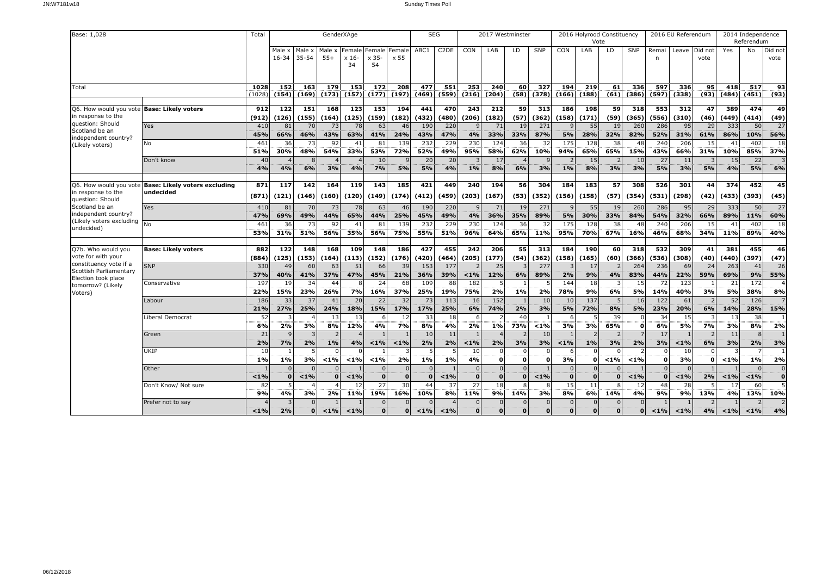| Base: 1,028                                  |                                                      | Total          |                 |                 | GenderXAge      |                      |                              |              | <b>SEG</b>   |                   |              | 2017 Westminster |            |              |                | 2016 Holyrood Constituency<br>Vote |                          |              |              | 2016 EU Referendum |                 |              | 2014 Independence<br>Referendum |                 |
|----------------------------------------------|------------------------------------------------------|----------------|-----------------|-----------------|-----------------|----------------------|------------------------------|--------------|--------------|-------------------|--------------|------------------|------------|--------------|----------------|------------------------------------|--------------------------|--------------|--------------|--------------------|-----------------|--------------|---------------------------------|-----------------|
|                                              |                                                      |                | Male x<br>16-34 | Male x<br>35-54 | Male x<br>$55+$ | Female<br>x 16<br>34 | Female Female<br>x 35-<br>54 | x 55         | ABC1         | C <sub>2</sub> DE | CON          | LAB              | LD.        | SNP          | CON            | LAB                                | LD                       | SNP          | Remai<br>n   | Leave              | Did not<br>vote | Yes          | No                              | Did not<br>vote |
| Total                                        |                                                      | 1028<br>(1028) | 152<br>(154)    | 163<br>(169)    | 179<br>(173)    | 153<br>(157)         | 172<br>(177)                 | 208<br>(197) | 477<br>(469) | 551<br>(559)      | 253<br>(216) | 240<br>(204)     | 60<br>(58) | 327<br>(378) | 194<br>(166)   | 219<br>(188)                       | 61<br>(61)               | 336<br>(386) | 597<br>(597) | 336<br>(338)       | 95<br>(93)      | 418<br>(484) | 517<br>(451)                    | 93<br>(93)      |
|                                              |                                                      |                |                 |                 |                 |                      |                              |              |              |                   |              |                  |            |              |                |                                    |                          |              |              |                    |                 |              |                                 |                 |
| Q6. How would you vote                       | <b>Base: Likely voters</b>                           | 912            | 122             | 151             | 168             | 123                  | 153                          | 194          | 441          | 470               | 243          | 212              | 59         | 313          | 186            | 198                                | 59                       | 318          | 553          | 312                | 47              | 389          | 474                             | 49              |
| in response to the<br>question: Should       |                                                      | (912)          | (126)           | (155)           | (164)           | (125)                | (159)                        | (182)        | (432)        | (480)             | (206)        | (182)            | (57)       | (362)        | (158)          | (171)                              | (59)                     | (365)        | (556)        | (310)              | (46)            | (449)        | (414)                           | (49)            |
| Scotland be an                               | Yes                                                  | 410<br>45%     | 81              | 70              | 73<br>43%       | 78                   | 63                           | 46           | 190          | 220<br>47%        |              | 71               | 19<br>33%  | 271<br>87%   |                | 55                                 | 19<br>32%                | 260<br>82%   | 286<br>52%   | 95                 | 29<br>61%       | 333<br>86%   | 50<br>10%                       | 27<br>56%       |
| independent country?                         | No                                                   | 461            | 66%<br>36       | 46%<br>73       | 92              | 63%<br>41            | 41%<br>81                    | 24%<br>139   | 43%<br>232   | 229               | 4%<br>230    | 33%<br>124       | 36         | 32           | 5%<br>175      | 28%<br>128                         | 38                       | 48           | 240          | 31%<br>206         | 15              | 41           | 402                             | 18              |
| (Likely voters)                              |                                                      | 51%            | 30%             | 48%             | 54%             | 33%                  | 53%                          | 72%          | 52%          | 49%               | 95%          | 58%              | 62%        | 10%          | 94%            | 65%                                | 65%                      | 15%          | 43%          | 66%                | 31%             | 10%          | 85%                             | 37%             |
|                                              | Don't know                                           | 40             |                 | 8               |                 |                      | 10                           |              | 20           | 20                |              | 17               |            |              |                | 15                                 |                          | 10           | 27           | 11                 |                 | 15           | 22                              |                 |
|                                              |                                                      | 4%             | 4%              | 6%              | 3%              | 4%                   | 7%                           | 5%           | 5%           | 4%                | 1%           | 8%               | 6%         | 3%           | $1\%$          | 8%                                 | 3%                       | 3%           | 5%           | 3%                 | 5%              | 4%           | 5%                              | 6%              |
|                                              |                                                      |                |                 |                 |                 |                      |                              |              |              |                   |              |                  |            |              |                |                                    |                          |              |              |                    |                 |              |                                 |                 |
|                                              | Q6. How would you vote Base: Likely voters excluding | 871            | 117             | 142             | 164             | 119                  | 143                          | 185          | 421          | 449               | 240          | 194              | 56         | 304          | 184            | 183                                | 57                       | 308          | 526          | 301                | 44              | 374          | 452                             | 45              |
| in response to the<br>question: Should       | undecided                                            | (871)          | (121)           | (146)           | (160)           | (120)                | (149)                        | (174)        | (412)        | (459)             | (203)        | (167)            | (53)       | (352)        | (156)          | (158)                              | (57)                     | (354)        | (531)        | (298)              | (42)            | (433)        | (393)                           | (45)            |
| Scotland be an                               | Yes                                                  | 410            | 81              | 70              | 73              | 78                   | 63                           | 46           | 190          | 220               |              | 71               | 19         | 271          |                | 55                                 | 19                       | 260          | 286          | 95                 | 29              | 333          | 50                              | 27              |
| independent country?                         |                                                      | 47%            | 69%             | 49%             | 44%             | 65%                  | 44%                          | 25%          | 45%          | 49%               | 4%           | 36%              | 35%        | 89%          | 5%             | 30%                                | 33%                      | 84%          | 54%          | 32%                | 66%             | 89%          | 11%                             | 60%             |
| (Likely voters excluding<br>undecided)       |                                                      | 461            | 36              | 73              | 92              | 41                   | 81                           | 139          | 232          | 229               | 230          | 124              | 36         | 32           | 175            | 128                                | 38                       | 48           | 240          | 206                | 15              | 41           | 402                             | 18              |
|                                              |                                                      | 53%            | 31%             | 51%             | 56%             | 35%                  | 56%                          | 75%          | 55%          | 51%               | 96%          | 64%              | 65%        | 11%          | 95%            | 70%                                | 67%                      | 16%          | 46%          | 68%                | 34%             | 11%          | 89%                             | 40%             |
| Q7b. Who would you                           | <b>Base: Likely voters</b>                           | 882            | 122             | 148             | 168             | 109                  | 148                          | 186          | 427          | 455               | 242          | 206              | 55         | 313          | 184            | 190                                | 60                       | 318          | 532          | 309                | 41              | 381          | 455                             | 46              |
| vote for with your<br>constituency vote if a |                                                      | (884)          | (125)           | (153)           | (164)           | (113)                | (152)                        | (176)        | (420)        | (464)             | (205)        | (177)            | (54)       | 362)         | (158)          | (165)                              | (60)                     | (366)        | (536)        | (308)              | (40)            | (440)        | (397)                           | (47)            |
| Scottish Parliamentary                       | <b>SNP</b>                                           | 330            | 49              | 60              | 63              | 51                   | 66                           | 39           | 153          | 177               |              | 25               |            | 277          |                | 17                                 |                          | 264          | 236          | 69                 | 24              | 263          | 41                              | 26              |
| Election took place                          |                                                      | 37%            | 40%             | 41%             | 37%             | 47%                  | 45%                          | 21%          | 36%          | 39%               | < 1%         | 12%              | 6%         | 89%          | 2%             | 9%                                 | 4%                       | 83%          | 44%          | 22%                | 59%             | 69%          | 9%                              | 55%             |
| tomorrow? (Likely                            | Conservative                                         | 197            | 19              | 34              | 44              | 8                    | 24                           | 68           | 109          | 88                | 182          |                  |            |              | 144            | 18                                 | 3                        | 15           | 72           | 123                |                 | 21           | 172                             |                 |
| Voters)                                      |                                                      | 22%<br>186     | 15%<br>33       | 23%<br>37       | 26%<br>41       | 7%<br>20             | 16%<br>22                    | 37%<br>32    | 25%<br>73    | 19%<br>113        | 75%<br>16    | 2%<br>152        | 1%         | 2%<br>10     | 78%<br>10      | 9%<br>137                          | 6%<br>5                  | 5%<br>16     | 14%<br>122   | 40%<br>61          | 3%              | 5%<br>52     | 38%<br>126                      | 8%              |
|                                              | Labour                                               | 21%            | 27%             | 25%             | 24%             | 18%                  | 15%                          | 17%          | 17%          | 25%               | 6%           | 74%              | 2%         | 3%           | 5%             | 72%                                | 8%                       | 5%           | 23%          | 20%                | 6%              | 14%          | 28%                             | 15%             |
|                                              | Liberal Democrat                                     | 52             |                 |                 | 13              | 13                   | -6                           | 12           | 33           | 18                |              |                  | 40         |              |                | 5                                  | 39                       |              | 34           | 15                 |                 | 13           | 38                              |                 |
|                                              |                                                      | 6%             | 2%              | 3%              | 8%              | 12%                  | 4%                           | 7%           | 8%           | 4%                | 2%           | 1%               | 73%        | < 1%         | 3%             | 3%                                 | 65%                      | $\Omega$     | 6%           | 5%                 | 7%              | 3%           | 8%                              | 2%              |
|                                              | Green                                                | 21             | $\mathbf{q}$    |                 |                 | $\Delta$             |                              |              | 10           | 11                |              |                  |            | 10           |                |                                    | $\overline{\phantom{0}}$ |              | 17           |                    |                 | 11           | $\mathcal{R}$                   |                 |
|                                              |                                                      | 2%             | 7%              | 2%              | 1%              | 4%                   | $< 1\%$                      | $< 1\%$      | 2%           | 2%                | < 1%         | 2%               | 3%         | 3%           | $< 1\%$        | $1\%$                              | 3%                       | 2%           | 3%           | $< 1\%$            | 6%              | 3%           | 2%                              | 3%              |
|                                              | UKIP                                                 | 10             |                 |                 |                 |                      |                              |              |              |                   | 10           |                  |            |              |                |                                    |                          |              |              | 10                 |                 |              |                                 |                 |
|                                              |                                                      | 1%             | 1%              | 3%              | < 1%            | $< 1\%$              | $< 1\%$                      | 2%           | 1%           | 1%                | 4%           | $\Omega$         | $\Omega$   |              | 3%             | $\mathbf{0}$                       | $1\%$                    | < 1%         | $\mathbf{0}$ | 3%                 | 0               | < 1%         | 1%                              | 2%              |
|                                              | Other                                                |                |                 | $\Omega$        |                 |                      | $\Omega$                     |              |              |                   |              | $\Omega$         |            |              | $\Omega$       | $\Omega$                           |                          |              | $\Omega$     | $\Omega$           |                 |              | $\Omega$                        | $\Omega$        |
|                                              |                                                      | < 1%           | $\mathbf{0}$    | $< 1\%$         |                 | $< 1\%$              | $\mathbf{o}$                 | $\bf{0}$     | $\Omega$     | $1\%$             | $\Omega$     | $\Omega$         | $\Omega$   | < 1%         | $\mathbf{o}$   | $\mathbf{0}$                       | O                        | < 1%         | $\mathbf{o}$ | $< 1\%$            | 2%              | $< 1\%$      | < 1%                            | $\Omega$        |
|                                              | Don't Know/ Not sure                                 | 82             |                 |                 |                 | 12                   | $\overline{27}$              | 30           | 44           | 37                | 27           | 18               |            |              | 15             | 11                                 | 8                        | 12           | 48           | 28                 |                 | 17           | 60                              |                 |
|                                              |                                                      | 9%             | 4%              | 3%              | 2%              | 11%                  | 19%                          | 16%          | 10%          | 8%                | 11%          | 9%               | 14%        | 3%           | 8%             | 6%                                 | 14%                      | 4%           | 9%           | 9%                 | 13%             | 4%           | 13%                             | 10%             |
|                                              | Prefer not to say                                    |                |                 | $\Omega$        |                 |                      |                              |              |              |                   | $\Omega$     |                  |            |              | $\overline{0}$ | $\Omega$                           |                          |              |              |                    |                 |              |                                 |                 |
|                                              |                                                      | < 1%           | 2%              | $\Omega$        | < 1%            | < 1%                 | $\Omega$                     | o            | < 1%         | < 1%              | $\Omega$     | n                | $\Omega$   | $\Omega$     | $\Omega$       | $\Omega$                           | O                        | ŋ            | 1%           | < 1%               | 4%              | < 1%         | $< 1\%$                         | 4%              |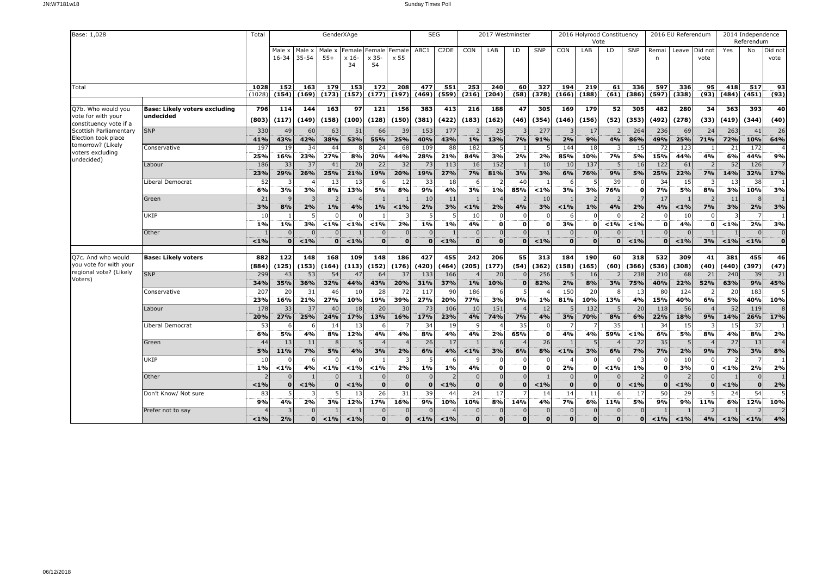| Base: 1,028                                  |                                      | Total                  |                 |                 | GenderXAge               |                              |                    |                | <b>SEG</b>               |              |                          | 2017 Westminster     |                                |                    |                             | 2016 Holyrood Constituency<br>Vote |               |              |                      | 2016 EU Referendum |            |               | 2014 Independence<br>Referendum |                             |
|----------------------------------------------|--------------------------------------|------------------------|-----------------|-----------------|--------------------------|------------------------------|--------------------|----------------|--------------------------|--------------|--------------------------|----------------------|--------------------------------|--------------------|-----------------------------|------------------------------------|---------------|--------------|----------------------|--------------------|------------|---------------|---------------------------------|-----------------------------|
|                                              |                                      | Male x<br>$16 - 34$    | Male x<br>35-54 | Male x<br>$55+$ | Female<br>$x 16$ -<br>34 | Female Female<br>x 35-<br>54 | $\times$ 55        | ABC1           | C <sub>2</sub> DE        | CON          | LAB                      | LD                   | SNP                            | CON                | LAB                         | LD                                 | SNP           | Remai<br>n   | Leave                | Did not<br>vote    | Yes        | No            | Did not<br>vote                 |                             |
| Total                                        |                                      | 1028<br>(1028)         | 152<br>(154)    | 163<br>(169)    | 179<br>(173)             | 153<br>(157)                 | 172<br>(177)       | 208<br>(197)   | 477<br>(469)             | 551<br>(559) | 253<br>(216)             | 240<br>(204)         | 60<br>(58)                     | 327<br>(378)       | 194<br>(166)                | 219<br>(188)                       | 61<br>(61)    | 336<br>(386) | 597<br>(597)         | 336<br>(338)       | 95<br>(93) | 418<br>(484)  | 517<br>(451)                    | 93<br>(93)                  |
| Q7b. Who would you                           | <b>Base: Likely voters excluding</b> | 796                    | 114             | 144             | 163                      | 97                           | 121                | 156            | 383                      | 413          | 216                      | 188                  | 47                             | 305                | 169                         | 179                                | 52            | 305          | 482                  | 280                | 34         | 363           | 393                             | 40                          |
| vote for with your<br>constituency vote if a | undecided                            | (803)                  | (117)           | (149)           | (158)                    | (100)                        | (128)              | (150)          | (381)                    | (422)        | (183)                    | (162)                | (46)                           | (354)              | (146)                       | (156)                              | (52)          | (353)        | (492)                | (278)              | (33)       | (419)         | (344)                           | (40)                        |
| Scottish Parliamentary                       | <b>SNP</b>                           | 330                    | 49              | 60              | 63                       | 51                           | 66                 | 39             | 153                      | 177          | $\overline{2}$           | 25                   | 3                              | 277                | $\overline{3}$              | 17                                 | 2             | 264          | 236                  | 69                 | 24         | 263           | 41                              | 26                          |
| Election took place<br>tomorrow? (Likely     |                                      | 41%<br>197             | 43%             | 42%             | 38%                      | 53%                          | 55%                | 25%            | 40%                      | 43%          | $1\%$                    | 13%                  | 7%                             | 91%                | 2%                          | 9%                                 | 4%            | 86%          | 49%                  | 25%                | 71%        | 72%           | 10%                             | 64%                         |
| voters excluding                             | Conservative                         | 25%                    | 19<br>16%       | 34<br>23%       | 44<br>27%                | 8<br>8%                      | 24<br>20%          | 68<br>44%      | 109<br>28%               | 88<br>21%    | 182<br>84%               | 3%                   | $\mathbf{1}$<br>2%             | 2%                 | 144<br>85%                  | 18<br>10%                          | 3<br>7%       | 15<br>5%     | 72<br>15%            | 123<br>44%         | 4%         | 21<br>6%      | 172<br>44%                      | 9%                          |
| undecided)                                   | Labour                               | 186                    | 33              | 37              | 41                       | 20                           | 22                 | 32             | 73                       | 113          | 16                       | 152                  |                                | 10                 | 10                          | 137                                | 5             | 16           | 122                  | 61                 |            | 52            | 126                             |                             |
|                                              |                                      | 23%                    | 29%             | 26%             | 25%                      | 21%                          | 19%                | 20%            | 19%                      | 27%          | 7%                       | 81%                  | 3%                             | 3%                 | 6%                          | 76%                                | 9%            | 5%           | 25%                  | 22%                | 7%         | 14%           | 32%                             | 17%                         |
|                                              | Liberal Democrat                     | 52                     |                 |                 | 13                       | 13                           |                    | 12             | 33                       | 18           | 6                        |                      | 40                             |                    | 6                           |                                    | 39            |              | 34                   | 15                 |            | 13            | 38                              |                             |
|                                              | Green                                | 6%<br>21               | 3%              | 3%              | 8%                       | 13%                          | 5%                 | 8%             | 9%<br>10                 | 4%<br>11     | 3%                       | 1%                   | 85%                            | $1\%$<br>10        | 3%                          | 3%                                 | 76%           | $\mathbf{0}$ | 7%<br>17             | 5%                 | 8%         | 3%<br>11      | 10%                             | 3%                          |
|                                              |                                      | 3%                     | 8%              | 2%              | 1%                       | 4%                           | $1\%$              | $< 1\%$        | 2%                       | 3%           | $< 1\%$                  | 2%                   | 4%                             | 3%                 | $< 1\%$                     | $1\%$                              | 4%            | 2%           | 4%                   | $< 1\%$            | 7%         | 3%            | 2%                              | 3%                          |
|                                              | UKIP                                 | 10                     |                 |                 | ſ                        | $\cap$                       |                    |                | 5                        |              | 10                       | $\Omega$             | $\mathbf{0}$                   |                    | 6                           | $\Omega$                           | $\Omega$      |              | $\Omega$             | 10                 |            | 3             |                                 |                             |
|                                              |                                      | 1%                     | 1%              | 3%              | < 1%                     | $< 1\%$                      | $< 1\%$            | 2%             | 1%                       | 1%           | 4%                       | $\Omega$             | $\mathbf{0}$                   | $\Omega$           | 3%                          | $\mathbf o$                        | $1\%$         | $1\%$        | $\mathbf{o}$         | 4%                 | 0          | $< 1\%$       | 2%                              | 3%                          |
|                                              | Other                                | < 1%                   | $\Omega$        | $< 1\%$         | $\mathbf 0$              | $< 1\%$                      | $\Omega$           | $\Omega$       | $\Omega$<br>$\mathbf{0}$ | $< 1\%$      | $\Omega$<br>$\mathbf{o}$ | $\Omega$<br>$\Omega$ | $\overline{0}$<br>$\mathbf{O}$ | $1\%$              | $\mathbf 0$<br>$\mathbf{0}$ | $\Omega$<br>$\mathbf{o}$           | $\bf{0}$      | < 1%         | $\Omega$<br>$\Omega$ | $< 1\%$            | 3%         | $< 1\%$       | $< 1\%$                         | $\mathbf 0$<br>$\mathbf{o}$ |
| Q7c. And who would                           | <b>Base: Likely voters</b>           | 882                    | 122             | 148             | 168                      | 109                          | 148                | 186            | 427                      | 455          | 242                      | 206                  | 55                             | 313                | 184                         | 190                                | 60            | 318          | 532                  | 309                | 41         | 381           | 455                             | 46                          |
| you vote for with your                       |                                      | (884)                  | (125)           | (153)           | (164)                    | (113)                        | (152)              | (176)          | (420)                    | (464)        | (205)                    | (177)                | (54)                           | (362)              | (158)                       | (165)                              | (60)          | (366)        | (536)                | (308)              | (40)       | (440)         | (397)                           | (47)                        |
| regional vote? (Likely<br>Voters)            | <b>SNP</b>                           | 299                    | 43              | 53              | 54                       | 47                           | 64                 | 37             | 133                      | 166          |                          | 20                   | $\Omega$                       | 256                | .5                          | 16                                 |               | 238          | 210                  | 68                 | 21         | 240           | 39                              | 21                          |
|                                              |                                      | 34%                    | 35%             | 36%             | 32%                      | 44%                          | 43%                | 20%            | 31%                      | 37%          | 1%                       | 10%                  | $\Omega$                       | 82%                | 2%                          | 8%                                 | 3%            | 75%          | 40%                  | 22%                | 52%        | 63%           | 9%                              | 45%                         |
|                                              | Conservative                         | 207<br>23%             | 20<br>16%       | 31<br>21%       | 46<br>27%                | 10<br>10%                    | 28<br>19%          | 72<br>39%      | 117<br>27%               | 90<br>20%    | 186<br>77%               | 3%                   | 5<br>9%                        | 1%                 | 150<br>81%                  | 20<br>10%                          | 8<br>13%      | 13<br>4%     | 80<br>15%            | 124<br>40%         | 6%         | 20<br>5%      | 183<br>40%                      | 10%                         |
|                                              | Labour                               | 178                    | 33              | $\overline{37}$ | 40                       | 18                           | 20                 | 30             | 73                       | 106          | 10                       | 151                  | $\overline{4}$                 | 12                 |                             | 132                                | 5             | 20           | 118                  | 56                 |            | 52            | 119                             |                             |
|                                              |                                      | 20%                    | 27%             | 25%             | 24%                      | 17%                          | 13%                | 16%            | 17%                      | 23%          | 4%                       | 74%                  | 7%                             | 4%                 | 3%                          | 70%                                | 8%            | 6%           | 22%                  | 18%                | 9%         | 14%           | 26%                             | 17%                         |
|                                              | Liberal Democrat                     | 53                     | -6              |                 | 14                       | 13                           | -6                 |                | 34                       | 19           |                          |                      | 35                             |                    |                             |                                    | 35            |              | 34                   | 15                 |            | 15            | 37                              |                             |
|                                              | Green                                | 6%<br>44               | 5%<br>13        | 4%<br>11        | 8%<br>8                  | 12%<br>5                     | 4%                 | 4%             | 8%<br>26                 | 4%<br>17     | 4%                       | 2%                   | 65%                            | $\mathbf{0}$<br>26 | 4%                          | 4%<br>5                            | 59%           | < 1%<br>22   | 6%<br>35             | 5%                 | 8%         | 4%<br>27      | 8%<br>13                        | 2%                          |
|                                              |                                      | 5%                     | 11%             | 7%              | 5%                       | 4%                           | 3%                 | 2%             | 6%                       | 4%           | $< 1\%$                  | 3%                   | 6%                             | 8%                 | $< 1\%$                     | 3%                                 | 6%            | 7%           | 7%                   | 2%                 | 9%         | 7%            | 3%                              | 8%                          |
|                                              | UKIP                                 | 10                     |                 |                 |                          |                              |                    |                | 5                        |              |                          |                      | $\Omega$                       |                    | $\overline{4}$              |                                    |               |              |                      | 10                 |            |               |                                 |                             |
|                                              |                                      | 1%                     | $< 1\%$         | 4%              | < 1%                     | $< 1\%$                      | $< 1\%$            | 2%             | $1\%$                    | 1%           | 4%                       | $\Omega$             | $\mathbf{0}$                   | n                  | 2%                          | $\mathbf 0$                        | $< 1\%$       | 1%           | $\mathbf{o}$         | 3%                 | 0          | $< 1\%$       | 2%                              | 2%                          |
|                                              | Other                                |                        |                 |                 |                          |                              | $\Omega$           | $\Omega$       | $\mathbf{0}$             |              | $\Omega$                 | $\Omega$             | $\overline{0}$                 |                    | $\mathbf{0}$                | $\mathbf{0}$                       | $\Omega$      |              | $\Omega$             |                    |            |               | $\Omega$                        |                             |
|                                              | Don't Know/ Not sure                 | < 1%<br>8 <sup>3</sup> | $\Omega$        | < 1%            | $\Omega$                 | $< 1\%$<br>13                | $\mathbf{0}$<br>26 | $\Omega$<br>31 | $\mathbf{o}$<br>39       | $1\%$<br>44  | $\mathbf{o}$<br>24       | $\mathbf{o}$<br>17   | $\mathbf{0}$                   | < 1%<br>14         | $\mathbf{0}$<br>14          | $\mathbf{0}$<br>11                 | $\Omega$<br>6 | < 1%<br>17   | $\Omega$<br>50       | $< 1\%$<br>29      | $\Omega$   | $< 1\%$<br>24 | $\mathbf 0$<br>54               | 2%                          |
|                                              |                                      | 9%                     | 4%              | 2%              | 3%                       | 12%                          | 17%                | 16%            | 9%                       | 10%          | 10%                      | 8%                   | 14%                            | 4%                 | 7%                          | 6%                                 | 11%           | 5%           | 9%                   | 9%                 | 11%        | 6%            | 12%                             | 10%                         |
|                                              | Prefer not to say                    |                        |                 |                 |                          |                              | $\Omega$           |                | n                        |              | $\Omega$                 |                      | $\Omega$                       |                    | $\mathbf 0$                 | $\Omega$                           | $\Omega$      |              |                      |                    |            |               |                                 |                             |
|                                              |                                      | < 1%                   | 2%              | $\Omega$        | < 1%                     | < 1%                         | $\Omega$           |                | $< 1\%$                  | < 1%         | $\Omega$                 | $\Omega$             | $\Omega$                       | $\Omega$           | ö                           | $\Omega$                           | $\Omega$      | $\Omega$     | $1\%$                | < 1%               | 4%         | $< 1\%$       | < 1%                            | 4%                          |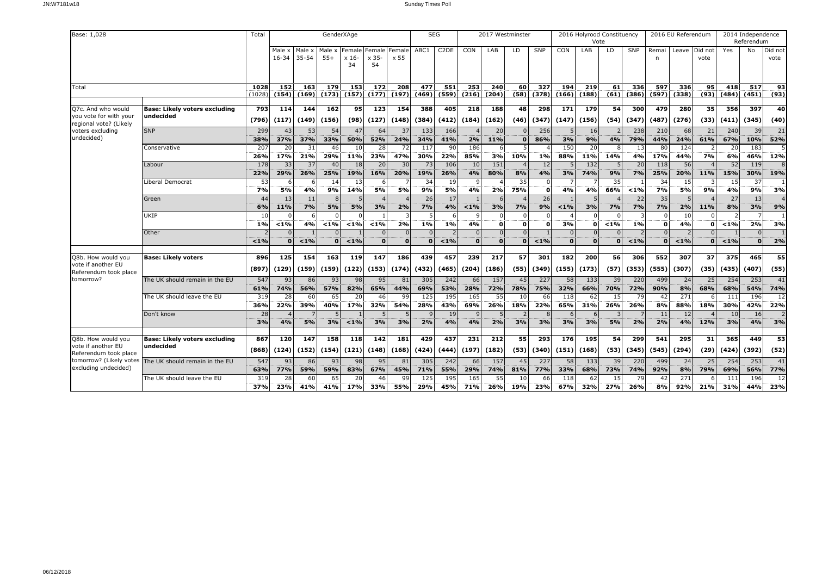| Base: 1,028                                                            |                                                   | Total                  |                     |                     | GenderXAge       |                         |                                |                  | <b>SEG</b>           |                   |                      | 2017 Westminster    |                         |                  |                      | 2016 Holyrood Constituency<br>Vote |                            |                         |                          | 2016 EU Referendum        |            |                   | 2014 Independence<br>Referendum |                  |
|------------------------------------------------------------------------|---------------------------------------------------|------------------------|---------------------|---------------------|------------------|-------------------------|--------------------------------|------------------|----------------------|-------------------|----------------------|---------------------|-------------------------|------------------|----------------------|------------------------------------|----------------------------|-------------------------|--------------------------|---------------------------|------------|-------------------|---------------------------------|------------------|
|                                                                        |                                                   |                        | Male x<br>$16 - 34$ | Male x<br>$35 - 54$ | Male x<br>$55+$  | Female<br>$x 16-$<br>34 | Female Female<br>$x 35-$<br>54 | x 55             | ABC1                 | C <sub>2</sub> DE | CON                  | LAB                 | LD.                     | <b>SNP</b>       | <b>CON</b>           | LAB                                | LD                         | SNP                     | Remai<br>n               | Leave Did not             | vote       | Yes               | No                              | Did not<br>vote  |
| Total                                                                  |                                                   | 1028<br>(1028          | 152<br>(154)        | 163<br>(169)        | 179<br>(173)     | 153<br>(157)            | 172<br>(177)                   | 208<br>(197)     | 477<br>(469)         | 551<br>(559)      | 253<br>(216)         | 240<br>(204)        | 60<br>(58)              | 327<br>(378)     | 194<br>(166)         | 219<br>(188)                       | 61<br>(61)                 | 336<br>(386)            | 597<br>(597)             | 336<br>(338)              | 95<br>(93) | 418<br>(484)      | 517<br>(451)                    | 93<br>(93)       |
| Q7c. And who would<br>you vote for with your<br>regional vote? (Likely | <b>Base: Likely voters excluding</b><br>undecided | 793<br>(796)           | 114<br>(117)        | 144<br>(149)        | 162<br>(156)     | 95 <sub>1</sub><br>(98) | $\overline{123}$<br>(127)      | 154<br>(148)     | 388<br>(384)         | 405<br>(412)      | 218<br>(184)         | <b>188</b><br>(162) | 48<br>(46)              | 298<br>(347)     | 171<br>(147)         | 179<br>(156)                       | 54<br>(54)                 | 300<br>(347)            | 479<br>(487)             | 280<br>(276)              | 35<br>(33) | 356<br>(411)      | 397<br>(345)                    | 40<br>(40)       |
| voters excluding<br>undecided)                                         | <b>SNP</b>                                        | 299<br>38%             | 43<br>37%           | 53<br>37%           | 54<br>33%        | 47<br>50%               | 64<br>52%                      | 37<br>24%        | 133<br>34%           | 166<br>41%        | 2%                   | 20<br>11%           | $\Omega$                | 256<br>86%       | 3%                   | 16<br>9%                           | 4%                         | 238<br>79%              | 210<br>44%               | 68<br>24%                 | 21<br>61%  | 240<br>67%        | 39<br>10%                       | 21<br>52%        |
|                                                                        | Conservative                                      | 207<br>26%             | 20<br>17%           | 31<br>21%           | 46<br>29%        | 10<br>11%               | 28<br>23%                      | 72<br>47%        | 117<br>30%           | 90<br>22%         | 186<br>85%           | 3%                  | 10%                     | 1%               | 150<br>88%           | 20<br>11%                          | $\mathsf{R}$<br>14%        | 13<br>4%                | 80<br>17%                | 124<br>44%                | 7%         | 20<br>6%          | 183<br>46%                      | 12%              |
|                                                                        | Labour                                            | 178<br>22%             | 33<br>29%           | 37<br>26%           | 40<br>25%        | 18<br>19%               | 20<br>16%                      | 30<br>20%        | 73<br>19%            | 106<br>26%        | 10<br>4%             | 151<br>80%          | 8%                      | 12<br>4%         | 3%                   | 132<br>74%                         | 5<br>9%                    | 20<br>7%                | 118<br>25%               | 56<br>20%                 | 11%        | 52<br>15%         | 119<br>30%                      | 19%              |
|                                                                        | Liberal Democrat                                  | 53<br>7%               | 5%                  | 4%                  | 14<br>9%         | 13<br>14%               | -6<br>5%                       | 5%               | 34<br>9%             | 19<br>5%          | 4%                   | 2%                  | 35<br>75%               | $\Omega$         | 4%                   | 4%                                 | 35<br>66%                  | < 1%                    | 34<br><b>7%</b>          | 15<br>5%                  | 9%         | 15<br>4%          | 37<br>9%                        | 3%               |
|                                                                        | Green                                             | 44<br>6%               | 13<br>11%           | 11<br>7%            | -8<br>5%         | 5%                      | 3%                             | 2%               | 26<br>7%             | 17<br>4%          | $< 1\%$              | 3%                  | 7%                      | 26<br>9%         | $1\%$                | 3%                                 | 7%                         | 22<br>7%                | 35<br>7%                 | 2%                        | 11%        | 27<br>8%          | 13<br>3%                        | 9%               |
|                                                                        | UKIP                                              | 10<br>1%               | < 1%                | 4%                  | 1%               | $< 1\%$                 | < 1%                           | 2%               | 1%                   | 1%                | 4%                   |                     | $\Omega$<br>$\mathbf 0$ |                  | 3%                   | $\mathbf{o}$                       | < 1%                       | 1%                      | $\Omega$<br>$\mathbf{o}$ | 10<br>4%                  |            | $< 1\%$           | 2%                              | 3%               |
|                                                                        | Other                                             | < 1%                   |                     | < 1%                | $\Omega$         | $< 1\%$                 | $\Omega$<br>$\Omega$           | $\Omega$         | $\Omega$<br>$\Omega$ | < 1%              | $\Omega$<br>$\Omega$ |                     | $\Omega$<br>$\Omega$    | < 1%             | $\Omega$<br>$\Omega$ | $\overline{0}$<br>$\mathbf{0}$     | $\overline{0}$<br>$\Omega$ | $\overline{2}$<br>$1\%$ | $\Omega$<br>٥I           | $\overline{2}$<br>$< 1\%$ |            | < 1%              | $\Omega$                        | 2%               |
| Q8b. How would you<br>vote if another EU                               | <b>Base: Likely voters</b>                        | 896                    | 125                 | 154                 | 163              | 119                     | 147                            | 186              | 439                  | 457               | 239                  | 217                 | 57                      | 301              | 182                  | 200                                | 56                         | 306                     | 552                      | 307                       | 37         | 375               | 465                             | 55               |
| Referendum took place<br>tomorrow?                                     | The UK should remain in the EU                    | (897)<br>547           | (129)<br>93         | (159)<br>86         | (159)<br>93      | (122)<br>98             | (153)<br>95                    | (174)<br>81      | (432)<br>305         | (465)<br>242      | (204)<br>66          | (186)<br>157        | (55)<br>45              | (349)<br>227     | (155)<br>58          | (173)<br>133                       | (57)<br>39                 | (353)<br>220            | (555)<br>499             | (307)<br>24               | (35)<br>25 | (435)<br>254      | (407)<br>253                    | (55)<br>41       |
|                                                                        | The UK should leave the EU                        | 61%<br>319<br>36%      | 74%<br>28<br>22%    | 56%<br>60<br>39%    | 57%<br>65<br>40% | 82%<br>20<br>17%        | 65%<br>46<br>32%               | 44%<br>99<br>54% | 69%<br>125<br>28%    | 53%<br>195<br>43% | 28%<br>165<br>69%    | 72%<br>55<br>26%    | 78%<br>10<br>18%        | 75%<br>66<br>22% | 32%<br>118<br>65%    | 66%<br>62<br>31%                   | 70%<br>15<br>26%           | 72%<br>79<br>26%        | 90%<br>42<br>8%          | 8%<br>271<br>88%          | 68%<br>18% | 68%<br>111<br>30% | 54%<br>196<br>42%               | 74%<br>12<br>22% |
|                                                                        | Don't know                                        | 28<br>3%               | 4%                  | 5%                  | 3%               | $< 1\%$                 | 3%                             | 3%               | 2%                   | 19<br>4%          | 4%                   | 2%                  | 3%                      | 3%               | 3%                   | 3%                                 | 5%                         | 2%                      | 11<br>2%                 | 12<br>4%                  | 12%        | 10<br>3%          | 16<br>4%                        | 3%               |
| Q8b. How would you                                                     | <b>Base: Likely voters excluding</b>              | 867                    | 120                 | 147                 | 158              | 118                     | 142                            | 181              | 429                  | 437               | 231                  | 212                 | 55                      | 293              | 176                  | 195                                | 54                         | 299                     | 541                      | 295                       | 31         | 365               | 449                             | 53               |
| vote if another EU<br>Referendum took place                            | undecided                                         | (868)                  | (124)               | (152)               | (154)            | (121)                   | (148)                          | (168)            | (424)                | (444)             | (197)                | (182)               | (53)                    | (340)            | (151)                | (168)                              | (53)                       | (345)                   | (545)                    | (294)                     | (29)       | (424)             | (392)                           | (52)             |
| tomorrow? (Likely votes<br>excluding undecided)                        | The UK should remain in the EU                    | 547<br>63%             | 93<br>77%           | 86<br>59%           | 93<br>59%        | 98<br>83%               | 95<br>67%                      | 81<br>45%        | 305<br>71%           | 242<br>55%        | 66<br>29%            | 157<br>74%          | 45<br>81%               | 227<br>77%       | 58<br>33%            | 133<br>68%                         | 39<br>73%                  | 220<br>74%              | 499<br>92%               | 24<br>8%                  | 25<br>79%  | 254<br>69%        | 253<br>56%                      | 41<br>77%        |
|                                                                        | The UK should leave the EU                        | 31 <sup>9</sup><br>37% | 28<br>23%           | 60<br>41%           | 65<br>41%        | 20<br>17%               | 46<br>33%                      | 99<br>55%        | 125<br>29%           | 195<br>45%        | 165<br>71%           | 55<br>26%           | 10<br>19%               | 66<br>23%        | 118<br>67%           | 62<br>32%                          | 15<br>27%                  | 79<br>26%               | 42<br>8%                 | 271<br>92%                | 21%        | 111<br>31%        | 196<br>44%                      | 12<br>23%        |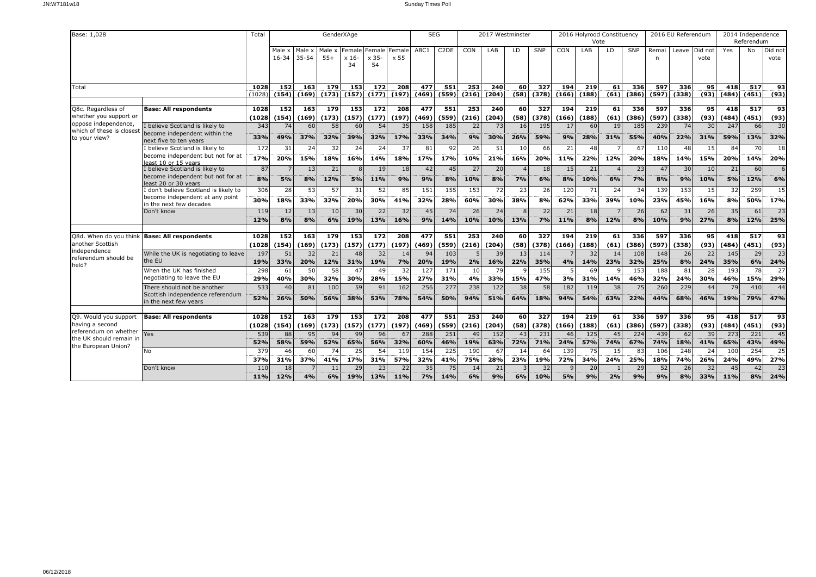| Base: 1,028                                                                                       |                                                                                                   | Total                |                           |                     | GenderXAge         |                         |                                   |                    | <b>SEG</b>          |                               |                                 | 2017 Westminster   |                     |                                  |                    | 2016 Holyrood Constituency<br>Vote |                  |                     |                     | 2016 EU Referendum |                  |                     | 2014 Independence<br>Referendum |                        |
|---------------------------------------------------------------------------------------------------|---------------------------------------------------------------------------------------------------|----------------------|---------------------------|---------------------|--------------------|-------------------------|-----------------------------------|--------------------|---------------------|-------------------------------|---------------------------------|--------------------|---------------------|----------------------------------|--------------------|------------------------------------|------------------|---------------------|---------------------|--------------------|------------------|---------------------|---------------------------------|------------------------|
|                                                                                                   |                                                                                                   |                      | Male x<br>$16 - 34$       | Male x<br>$35 - 54$ | Male x<br>$55+$    | Female<br>$x 16-$<br>34 | Female   Female<br>$x 35$ -<br>54 | x 55               | ABC1                | C <sub>2</sub> D <sub>E</sub> | CON                             | LAB                | LD.                 | <b>SNP</b>                       | CON                | LAB                                | LD               | SNP                 | Remai<br>n          | Leave Did not      | vote             | Yes                 | No                              | Did not<br>vote        |
| Total                                                                                             |                                                                                                   | 1028<br>(1028)       | 152<br>(154)              | 163<br>(169)        | 179<br>(173)       | 153<br>(157)            | 172<br>(177)                      | 208<br>(197)       | 477<br>(469)        | 551<br>(559)                  | 253<br>(216)                    | 240<br>(204)       | 60<br>(58)          | 327<br>(378)                     | 194<br>(166)       | 219<br>(188)                       | 61<br>(61)       | 336<br>(386)        | 597<br>(597)        | 336<br>(338)       | 95<br>(93)       | 418<br>(484)        | 517<br>(451)                    | 93<br>(93)             |
| Q8c. Regardless of<br>whether you support or<br>oppose independence,<br>which of these is closest | <b>Base: All respondents</b><br>believe Scotland is likely to                                     | 1028<br>(1028<br>343 | 152<br>(154)<br>74        | 163<br>(169)<br>60  | 179<br>(173)<br>58 | 153<br>(157)<br>60      | $\frac{172}{2}$<br>(177)<br>54    | 208<br>(197)<br>35 | 477<br>(469)<br>158 | 551<br>(559)<br>185           | $\overline{253}$<br>(216)<br>22 | 240<br>(204)<br>73 | 60<br>(58)<br>16    | $\overline{327}$<br>(378)<br>195 | 194<br>(166)<br>17 | 219<br>(188)<br>60                 | 61<br>(61)<br>19 | 336<br>(386)<br>185 | 597<br>(597)<br>239 | 336<br>(338)<br>74 | 95<br>(93)<br>30 | 418<br>(484)<br>247 | $\overline{517}$<br>(451)<br>66 | 93<br>(93)<br>30       |
| to your view?                                                                                     | become independent within the<br>next five to ten years<br>believe Scotland is likely to          | 33%<br>172           | 49%<br>31                 | 37%<br>24           | 32%<br>32          | 39%<br>24               | 32%<br>24                         | 17%<br>37          | 33%<br>81           | 34%<br>92                     | 9%<br>26                        | 30%<br>51          | 26%<br>10           | 59%<br>66                        | 9%<br>21           | 28%<br>48                          | 31%              | 55%<br>67           | 40%<br>110          | 22%<br>48          | 31%<br>15        | 59%<br>84           | 13%<br>70                       | 32%<br>18              |
|                                                                                                   | become independent but not for at<br>east 10 or 15 years                                          | 17%                  | 20%                       | 15%                 | 18%                | 16%                     | 14%                               | 18%                | 17%                 | 17%                           | 10%                             | 21%                | 16%                 | 20%                              | 11%                | 22%                                | 12%              | 20%                 | 18%                 | 14%                | 15%              | 20%                 | 14%                             | 20%                    |
|                                                                                                   | I believe Scotland is likely to<br>become independent but not for at<br>least 20 or 30 years      | 87<br>8%             | 5%                        | 13<br>8%            | 21<br>12%          | 8<br><b>5%</b>          | 19<br>11%                         | 18<br>9%           | 42<br>9%            | 45<br>8%                      | 27<br>10%                       | 20<br>8%           | 7%                  | 18<br>6%                         | 15<br>8%           | 21<br>10%                          | 6%               | 23<br>7%            | 47<br>8%            | 30<br>9%           | 10<br>10%        | 21<br>5%            | 60<br>12%                       | 6%                     |
|                                                                                                   | don't believe Scotland is likely to<br>become independent at any point<br>in the next few decades | 306<br>30%           | 28<br>18%                 | 53<br>33%           | 57<br>32%          | 31<br>20%               | 52<br>30%                         | 85<br>41%          | 151<br>32%          | 155<br>28%                    | 153<br>60%                      | 72<br>30%          | 23<br>38%           | 26<br>8%                         | 120<br>62%         | 71<br>33%                          | 24<br>39%        | 34<br>10%           | 139<br>23%          | 153<br>45%         | 15<br>16%        | 32<br>8%            | 259<br>50%                      | 15<br>17%              |
|                                                                                                   | Don't know                                                                                        | 119<br>12%           | 12<br>8%                  | 13<br>8%            | 10<br>6%           | 30<br>19%               | 22<br>13%                         | 32<br>16%          | 45<br>9%            | 74<br>14%                     | 26<br>10%                       | 24<br>10%          | $\mathbf{R}$<br>13% | 22<br>7%                         | 21<br>11%          | 18<br>8%                           | 12%              | 26<br>8%            | 62<br>10%           | 31<br>9%           | 26<br>27%        | 35<br>8%            | 61<br>12%                       | 23<br>25%              |
| Q8d. When do you think<br>another Scottish                                                        | <b>Base: All respondents</b>                                                                      | 1028<br>(1028        | 152<br>(154)              | 163<br>(169)        | 179<br>(173)       | 153<br>(157)            | 172<br>(177)                      | 208<br>(197)       | 477<br>(469)        | 551<br>(559)                  | 253<br>(216)                    | 240<br>(204)       | 60 <br>(58)         | 327<br>(378)                     | 194<br>(166)       | 219<br>(188)                       | 61<br>(61)       | 336<br>(386)        | 597<br>(597)        | 336<br>(338)       | 95<br>(93)       | 418<br>(484)        | 517<br>(451)                    | 93<br>(93)             |
| independence<br>referendum should be<br>held?                                                     | While the UK is negotiating to leave<br>the EU                                                    | 197<br>19%           | 51<br>33%                 | 32<br>20%           | 21<br>12%          | 48<br>31%               | 32<br>19%                         | 14<br>7%           | 94<br>20%           | 103<br>19%                    | 2%                              | 39<br>16%          | 13<br>22%           | 114<br>35%                       | 4%                 | 32<br>14%                          | 14<br>23%        | 108<br>32%          | 148<br>25%          | 26<br>8%           | 22<br>24%        | 145<br>35%          | 29<br>6%                        | 23<br>24%              |
|                                                                                                   | When the UK has finished<br>negotiating to leave the EU                                           | 298<br>29%           | 61<br>40%                 | 50<br>30%           | 58<br>32%          | 47<br>30%               | 49<br>28%                         | 32<br>15%          | 127<br>27%          | 171<br>31%                    | 10<br>4%                        | 79<br>33%          | 15%                 | 155<br>47%                       | 3%                 | 69<br>31%                          | 14%              | 153<br>46%          | 188<br>32%          | 81<br>24%          | 28<br>30%        | 193<br>46%          | 78<br>15%                       | $\overline{27}$<br>29% |
|                                                                                                   | There should not be another<br>Scottish independence referendum<br>in the next few years          | 533<br>52%           | 40<br>26%                 | 81<br>50%           | 100<br>56%         | 59<br>38%               | 91<br>53%                         | 162<br>78%         | 256<br>54%          | 277<br>50%                    | 238<br>94%                      | 122<br>51%         | 38<br>64%           | 58<br>18%                        | 182<br>94%         | 119<br>54%                         | 38<br>63%        | 75<br>22%           | 260<br>44%          | 229<br>68%         | 44<br>46%        | 79<br>19%           | 410<br>79%                      | 44<br>47%              |
| Q9. Would you support<br>having a second                                                          | <b>Base: All respondents</b>                                                                      | 1028<br>(1028        | $\overline{152}$<br>(154) | 163<br>(169)        | 179<br>(173)       | 153<br>(157)            | $\frac{172}{2}$<br>(177)          | 208<br>(197)       | 477<br>(469)        | 551<br>(559)                  | 253<br>(216)                    | 240<br>(204)       | 60<br>(58)          | 327<br>(378)                     | 194<br>(166)       | 219<br>(188)                       | 61<br>(61)       | 336<br>(386)        | 597<br>(597)        | 336<br>(338)       | 95<br>(93)       | 418<br>(484)        | 517<br>(451)                    | 93<br>(93)             |
| referendum on whether<br>the UK should remain in<br>the European Union?                           | Yes                                                                                               | 539<br>52%           | 88<br>58%                 | 95<br>59%           | 94<br>52%          | 99<br>65%               | 96<br>56%                         | 67<br>32%          | 288<br>60%          | 251<br>46%                    | 49<br>19%                       | 152<br>63%         | 43<br>72%           | 231<br>71%                       | 46<br>24%          | 125<br>57%                         | 45<br>74%        | 224<br>67%          | 439<br>74%          | 62<br>18%          | 39<br>41%        | 273<br>65%          | 221<br>43%                      | 45<br>49%              |
|                                                                                                   | No                                                                                                | 379<br>37%           | 46<br>31%                 | 60<br>37%           | 74<br>41%          | 25<br>17%               | 54<br>31%                         | 119<br>57%         | 154<br>32%          | 225<br>41%                    | 190<br>75%                      | 67<br>28%          | 14<br>23%           | 64<br>19%                        | 139<br>72%         | 75<br>34%                          | 15<br>24%        | 83<br>25%           | 106<br>18%          | 248<br>74%         | 24<br>26%        | 100<br>24%          | 254<br>49%                      | 25<br>27%              |
|                                                                                                   | Don't know                                                                                        | 110<br>11%           | 18<br>12%                 | 4%                  | 11<br>6%           | 29<br>19%               | 23<br>13%                         | 22<br>11%          | 35<br>7%            | 75<br>14%                     | 14<br>6%                        | 21<br>9%           | 6%                  | 32<br>10%                        | $\mathbf{q}$<br>5% | 20<br>9%                           | 2%               | 29<br>9%            | 52<br>9%            | 26<br>8%           | 32<br>33%        | 45<br>11%           | 42<br>8%                        | 23<br>24%              |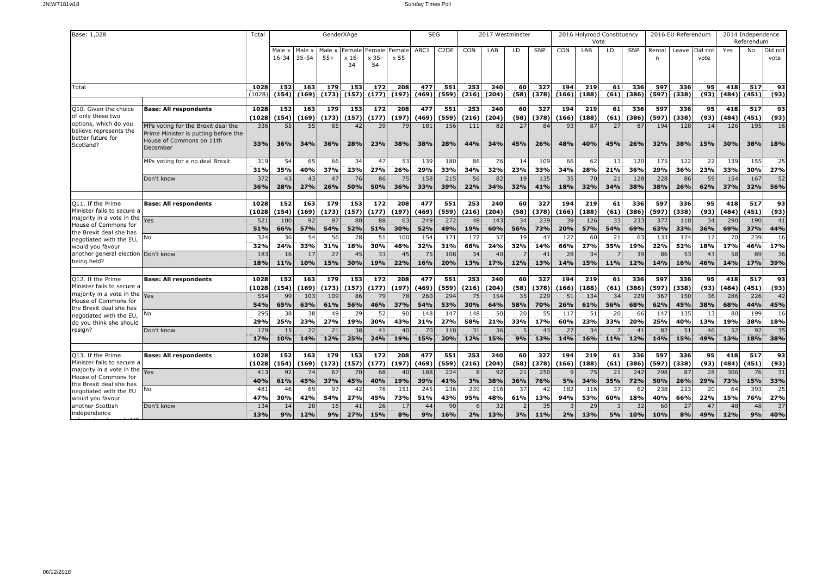| Base: 1,028                                                               |                                                                                                                    | Total                  |                     |                     | GenderXAge                |                      |                         |                | <b>SEG</b>                |                        |                     | 2017 Westminster |            |              |              | 2016 Holyrood Constituency<br>Vote |                         |              |              | 2016 EU Referendum |                 |              | 2014 Independence<br>Referendum |                 |
|---------------------------------------------------------------------------|--------------------------------------------------------------------------------------------------------------------|------------------------|---------------------|---------------------|---------------------------|----------------------|-------------------------|----------------|---------------------------|------------------------|---------------------|------------------|------------|--------------|--------------|------------------------------------|-------------------------|--------------|--------------|--------------------|-----------------|--------------|---------------------------------|-----------------|
|                                                                           |                                                                                                                    |                        | Male x<br>$16 - 34$ | Male x<br>$35 - 54$ | Male x<br>$55+$           | Female<br>x 16<br>34 | Female<br>$x$ 35-<br>54 | Female<br>x 55 | ABC1                      | C <sub>2</sub> DE      | CON                 | LAB              | LD         | <b>SNP</b>   | <b>CON</b>   | LAB                                | LD                      | SNP          | Remai<br>n   | Leave              | Did not<br>vote | Yes          | No                              | Did not<br>vote |
| Total                                                                     |                                                                                                                    | 1028<br>(1028          | 152<br>(154)        | 163<br>(169)        | 179<br>(173)              | 153<br>(157)         | 172<br>(177)            | 208<br>(197)   | 477<br>(469)              | 551<br>(559)           | 253<br>(216)        | 240<br>(204)     | 60<br>(58) | 327<br>(378) | 194<br>(166) | 219<br>(188)                       | 61<br>(61)              | 336<br>(386) | 597<br>(597) | 336<br>(338)       | 95<br>(93)      | 418<br>(484) | 517<br>(451)                    | 93<br>(93)      |
| Q10. Given the choice                                                     | <b>Base: All respondents</b>                                                                                       | 1028                   | 152                 | 163                 | 179                       | 153                  | 172                     | 208            | 477                       | 551                    | 253                 | 240              | 60         | 327          | 194          | 219                                | 61                      | 336          | 597          | 336                | 95              | 418          | 517                             | 93              |
| of only these two<br>options, which do you                                |                                                                                                                    | (1028                  | (154)               | (169)               | (173)                     | (157)                | (177)                   | (197)          | (469)                     | (559)                  | (216)               | (204)            | (58)       | (378)        | (166)        | (188)                              | (61)                    | (386)        | (597)        | (338)              | (93)            | (484)        | (451)                           | (93)            |
| believe represents the<br>better future for<br>Scotland?                  | MPs voting for the Brexit deal the<br>Prime Minister is putting before the<br>House of Commons on 11th<br>December | 336<br>33%             | 55<br>36%           | 55<br>34%           | 65<br>36%                 | 42<br>28%            | 39<br>23%               | 79<br>38%      | 181<br>38%                | 156<br>28%             | 111<br>44%          | 82<br>34%        | 27<br>45%  | 84<br>26%    | 93<br>48%    | 87<br>40%                          | 27<br>45%               | 87<br>26%    | 194<br>32%   | 128<br>38%         | 14<br>15%       | 126<br>30%   | 195<br>38%                      | 16<br>18%       |
|                                                                           | MPs voting for a no deal Brexit                                                                                    | 31 <sup>9</sup><br>31% | 54<br>35%           | 65<br>40%           | 66<br>37%                 | 34<br>23%            | 47<br>27%               | 53<br>26%      | 139<br>29%                | 180<br>33%             | 86<br>34%           | 76<br>32%        | 14<br>23%  | 109<br>33%   | 66<br>34%    | 62<br>28%                          | 13<br>21%               | 120<br>36%   | 175<br>29%   | 122<br>36%         | 22<br>23%       | 139<br>33%   | 155<br>30%                      | 25<br>27%       |
|                                                                           | Don't know                                                                                                         | 372<br>36%             | 43<br>28%           | 43<br>27%           | 47<br>26%                 | 76<br>50%            | 86<br>50%               | 75<br>36%      | 158<br>33%                | 215<br>39%             | 56<br>22%           | 82<br>34%        | 19<br>32%  | 135<br>41%   | 35<br>18%    | 70<br>32%                          | 21<br>34%               | 128<br>38%   | 228<br>38%   | 86<br>26%          | 59<br>62%       | 154<br>37%   | 167<br>32%                      | 52<br>56%       |
| Q11. If the Prime                                                         | <b>Base: All respondents</b>                                                                                       | 1028                   | 152                 | 163                 | 179                       | 153                  | 172                     | 208            | 477                       | 551                    | 253                 | 240              | 60         | 327          | 194          | 219                                | 61                      | 336          | 597          | 336                | 95              | 418          | 517                             | 93              |
| Minister fails to secure a<br>majority in a vote in the                   | Yes                                                                                                                | (1028<br>521           | (154)<br>100        | (169)<br>92         | (173)<br>97               | (157)<br>80          | (177)<br>88             | (197)<br>63    | (469)<br>249              | (559)<br>272           | (216)<br>48         | (204)<br>143     | (58)<br>34 | (378)<br>239 | (166)<br>39  | (188)<br>126                       | (61)<br>33              | (386)<br>233 | (597)<br>377 | (338)<br>110       | (93)<br>34      | (484)<br>290 | (451)<br>190                    | (93)<br>41      |
| House of Commons for<br>the Brexit deal she has<br>negotiated with the EU | No                                                                                                                 | 51%<br>324             | 66%<br>36           | 57%<br>54           | 54%<br>56                 | 52%<br>28            | 51%<br>51               | 30%<br>100     | 52%<br>154                | 49%<br>17 <sub>1</sub> | 19%<br>172          | 60%<br>57        | 56%<br>19  | 73%<br>47    | 20%<br>127   | 57%<br>60                          | 54%<br>21               | 69%<br>63    | 63%<br>133   | 33%<br>174         | 36%<br>17       | 69%<br>70    | 37%<br>239                      | 44%<br>16       |
| would you favour<br>another general election Don't know                   |                                                                                                                    | 32%<br>183             | 24%<br>16           | 33%<br>17           | 31%<br>27                 | 18%<br>45            | 30%<br>33               | 48%<br>45      | 32%<br>75                 | 31%<br>108             | 68%<br>34           | 24%<br>40        | 32%        | 14%<br>41    | 66%<br>28    | 27%<br>34                          | 35%                     | 19%<br>39    | 22%<br>86    | 52%<br>53          | 18%<br>43       | 17%<br>58    | 46%<br>89                       | 17%<br>36       |
| being held?                                                               |                                                                                                                    | 18%                    | 11%                 | 10%                 | 15%                       | 30%                  | 19%                     | 22%            | 16%                       | 20%                    | 13%                 | 17%              | 12%        | 13%          | 14%          | 15%                                | 11%                     | 12%          | 14%          | 16%                | 46%             | 14%          | 17%                             | 39%             |
| Q12. If the Prime<br>Minister fails to secure a                           | <b>Base: All respondents</b>                                                                                       | 1028<br>(1028          | 152<br>(154)        | 163<br>(169)        | $\overline{179}$<br>(173) | 153<br>(157)         | 172<br>(177)            | 208<br>(197)   | $\overline{477}$<br>(469) | 551<br>(559)           | 253<br>(216)        | 240<br>(204)     | 60<br>(58) | 327<br>(378) | 194<br>(166) | 219<br>(188)                       | 61<br>(61)              | 336<br>(386) | 597<br>(597) | 336<br>(338)       | 95<br>(93)      | 418<br>(484) | $\overline{517}$<br>(451)       | 93<br>(93)      |
| majority in a vote in the<br>House of Commons for                         | Yes                                                                                                                | 554                    | 99                  | 103<br>63%          | 109<br>61%                | 86                   | 79                      | 78             | 260                       | 294                    | 75                  | 154              | 35<br>58%  | 229          | 51           | 134                                | 34                      | 229          | 367          | 150                | 36              | 286<br>68%   | 226<br>44%                      | 42              |
| the Brexit deal she has<br>negotiated with the EU                         | No                                                                                                                 | 54%<br>295             | 65%<br>38           | 38                  | 49                        | 56%<br>29            | 46%<br>52               | 37%<br>90      | 54%<br>148                | 53%<br>14              | 30%<br>148          | 64%<br>50        | 20         | 70%<br>55    | 26%<br>117   | 61%<br>51                          | 56%<br>20               | 68%<br>66    | 62%<br>147   | 45%<br>135         | 38%<br>13       | 80           | 199                             | 45%<br>16       |
| do you think she should<br>resign?                                        | Don't know                                                                                                         | 29%<br>17 <sup>9</sup> | 25%<br>15           | 23%<br>22           | 27%<br>21                 | 19%<br>38            | 30%<br>41               | 43%<br>40      | 31%<br>70                 | 27%<br>110             | 58%<br>31           | 21%<br>36        | 33%        | 17%<br>43    | 60%<br>27    | 23%<br>34                          | 33%                     | 20%<br>41    | 25%<br>82    | 40%<br>51          | 13%<br>46       | 19%<br>52    | 38%<br>92                       | 18%<br>35       |
|                                                                           |                                                                                                                    | 17%                    | 10%                 | 14%                 | 12%                       | 25%                  | 24%                     | 19%            | 15%                       | 20%                    | 12%                 | 15%              | 9%         | 13%          | 14%          | 16%                                | 11%                     | 12%          | 14%          | 15%                | 49%             | 13%          | 18%                             | 38%             |
| Q13. If the Prime<br>Minister fails to secure a                           | <b>Base: All respondents</b>                                                                                       | 1028<br>(1028          | 152<br>(154)        | 163<br>(169)        | 179<br>(173)              | 153<br>(157)         | 172<br>(177)            | 208<br>(197)   | 477<br>(469)              | 551<br>(559)           | 253<br>(216)        | 240<br>(204)     | 60<br>(58) | 327<br>(378) | 194<br>(166) | 219<br>(188)                       | 61<br>(61)              | 336<br>(386) | 597<br>(597) | 336<br>(338)       | 95<br>(93)      | 418<br>(484) | 517<br>(451)                    | 93<br>(93)      |
| majority in a vote in the<br>House of Commons for                         | Yes                                                                                                                | 413<br>40%             | 92<br>61%           | 74<br>45%           | 67<br>37%                 | 70<br>45%            | 68<br>40%               | 40<br>19%      | 188<br>39%                | 224<br>41%             | $\mathcal{R}$<br>3% | 92<br>38%        | 21<br>36%  | 250<br>76%   | 5%           | 75<br>34%                          | 21<br>35%               | 242<br>72%   | 298<br>50%   | 87<br>26%          | 28<br>29%       | 306<br>73%   | 76<br>15%                       | 31<br>33%       |
| the Brexit deal she has<br>negotiated with the EU                         | No                                                                                                                 | 481                    | 46<br>30%           | 69                  | 97                        | 42                   | 78                      | 151<br>73%     | 245<br>51%                | 236<br>43%             | 239                 | 116<br>48%       | 37         | 42<br>13%    | 182          | 116<br>53%                         | 37<br>60%               | 62           | 238<br>40%   | 223                | 20<br>22%       | 64           | 393<br>76%                      | 25<br>27%       |
| would you favour<br>another Scottish<br>independence                      | Don't know                                                                                                         | 47%<br>134             | 14                  | 42%<br>20           | 54%<br>16<br>9%           | 27%<br>41            | 45%<br>26               | 17             | 44                        | 90                     | 95%<br>6            | 32               | 61%        | 35           | 94%          | 29                                 | $\overline{\mathbf{3}}$ | 18%<br>32    | 60           | 66%<br>27          | 47              | 15%<br>48    | 48                              | 37              |
|                                                                           |                                                                                                                    | 13%                    | 9%                  | 12%                 |                           | 27%                  | 15%                     | 8%             | 9%                        | 16%                    | 2%                  | 13%              | 3%         | 11%          | 2%           | 13%                                | 5%                      | 10%          | 10%          | 8%                 | 49%             | 12%          | 9%                              | 40%             |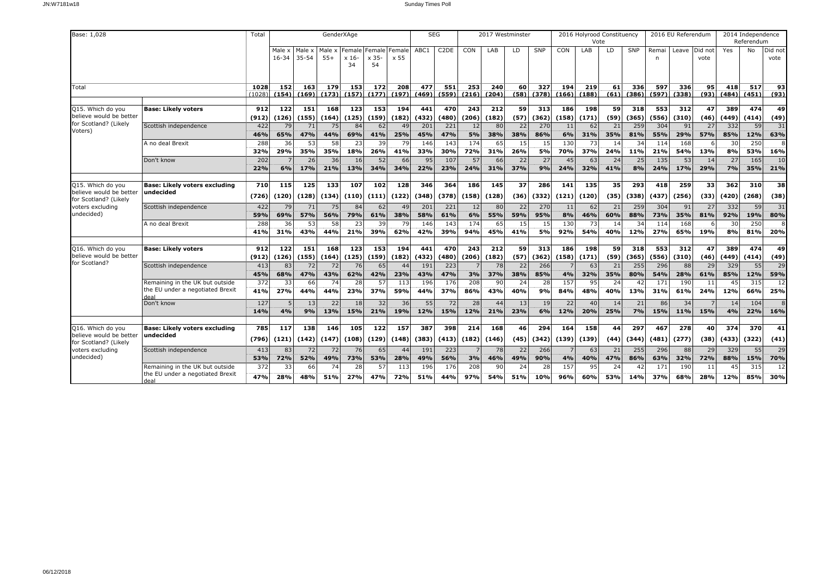| Base: 1,028                                      |                                                                     | Total         |              |              | GenderXAge       |                           |               |              | <b>SEG</b>   |                               |              | 2017 Westminster |            |              |                     | 2016 Holyrood Constituency<br>Vote |            |              |              | 2016 EU Referendum |            |              | 2014 Independence<br>Referendum |            |
|--------------------------------------------------|---------------------------------------------------------------------|---------------|--------------|--------------|------------------|---------------------------|---------------|--------------|--------------|-------------------------------|--------------|------------------|------------|--------------|---------------------|------------------------------------|------------|--------------|--------------|--------------------|------------|--------------|---------------------------------|------------|
|                                                  |                                                                     |               | Male x       | Male x       | Male x           | Female                    | Female Female |              | ABC1         | C <sub>2</sub> D <sub>E</sub> | CON          | LAB              | LD         | <b>SNP</b>   | CON                 | LAB                                | LD         | SNP          | Remai        | Leave Did not      |            | Yes          | No                              | Did not    |
|                                                  |                                                                     |               | $16 - 34$    | 35-54        | $55+$            | $x 16-$<br>34             | x 35-<br>54   | x 55         |              |                               |              |                  |            |              |                     |                                    |            |              | n            |                    | vote       |              |                                 | vote       |
|                                                  |                                                                     |               |              |              |                  |                           |               |              |              |                               |              |                  |            |              |                     |                                    |            |              |              |                    |            |              |                                 |            |
|                                                  |                                                                     |               | 152          |              |                  |                           |               | 208          |              | 551                           |              |                  |            | 327          |                     |                                    |            |              | 597          | 336                |            | 418          | 517                             |            |
| Total                                            |                                                                     | 1028<br>(1028 | (154)        | 163<br>(169) | 179<br>(173)     | 153<br>(157)              | 172<br>(177)  | (197)        | 477<br>(469) | (559)                         | 253<br>(216) | 240<br>(204)     | 60<br>(58) | (378)        | 194<br>(166)        | 219<br>(188)                       | 61<br>(61) | 336<br>(386) | (597)        | (338)              | 95<br>(93) | (484)        | (451)                           | 93<br>(93) |
|                                                  |                                                                     |               |              |              |                  |                           |               |              |              |                               |              |                  |            |              |                     |                                    |            |              |              |                    |            |              |                                 |            |
| Q15. Which do you<br>believe would be better     | <b>Base: Likely voters</b>                                          | 912<br>(912   | 122<br>(126) | 151<br>(155) | 168<br>(164)     | $\overline{123}$<br>(125) | 153<br>(159)  | 194<br>(182) | 441<br>(432) | 470<br>(480)                  | 243<br>(206) | 212<br>(182)     | 59<br>(57) | 313<br>(362) | <b>186</b><br>(158) | 198<br>(171)                       | 59<br>(59) | 318<br>(365) | 553<br>(556) | 312<br>(310)       | 47<br>(46) | 389<br>(449) | 474<br>(414)                    | 49<br>(49) |
| for Scotland? (Likely                            | Scottish independence                                               | 422           | 79           | 71           | 75               | 84                        | 62            | 49           | 201          | 221                           | 12           | 80               | 22         | 270          | 11                  | 62                                 | 21         | 259          | 304          | 91                 | 27         | 332          | 59                              | 31         |
| Voters)                                          |                                                                     | 46%           | 65%          | 47%          | 44%              | 69%                       | 41%           | 25%          | 45%          | 47%                           | 5%           | 38%              | 38%        | 86%          | 6%                  | 31%                                | 35%        | 81%          | 55%          | 29%                | 57%        | 85%          | 12%                             | 63%        |
|                                                  | A no deal Brexit                                                    | 288           | 36           | 53           | 58               | 23                        | 39            | 79           | 146          | 143                           | 174          | 65               | 15         | 15           | 130                 | 73                                 | 14         | 34           | 114          | 168                |            | 30           | 250                             |            |
|                                                  |                                                                     | 32%           | 29%          | 35%          | 35%              | 18%                       | 26%           | 41%          | 33%          | 30%                           | 72%          | 31%              | 26%        | 5%           | 70%                 | 37%                                | 24%        | 11%          | 21%          | 54%                | 13%        | 8%           | 53%                             | 16%        |
|                                                  | Don't know                                                          | 202           |              | 26           | 36               | 16 <sup>1</sup>           | 52            | 66           | 95           | 107                           | 57           | 66               | 22         | 27           | 45                  | 63                                 | 24         | 25           | 135          | 53                 | 14         | 27           | 165                             | 10         |
|                                                  |                                                                     | 22%           | 6%           | 17%          | 21%              | 13%                       | 34%           | 34%          | 22%          | 23%                           | 24%          | 31%              | 37%        | 9%           | 24%                 | 32%                                | 41%        | 8%           | 24%          | 17%                | 29%        | 7%           | 35%                             | 21%        |
| Q15. Which do you                                | <b>Base: Likely voters excluding</b>                                | 710           | 115          | 125          | $\overline{133}$ | 107                       | 102           | 128          | 346          | 364                           | 186          | 145              | 37         | 286          | 141                 | $\overline{135}$                   | 35         | 293          | 418          | $\overline{259}$   | 33         | 362          | 310                             | 38         |
| believe would be better                          | undecided                                                           | (726)         | (120)        | (128)        | (134)            | (110)                     | (111)         | (122)        | (348)        | (378)                         | (158)        | (128)            | (36)       | (332)        | (121)               | (120)                              | (35)       | (338)        | (437)        | (256)              | (33)       | (420)        | (268)                           | (38)       |
| for Scotland? (Likely<br>voters excluding        | Scottish independence                                               | 422           | 79           | 71           | 75               | 84                        | 62            | 49           | 201          | 221                           | 12           | 80               | 22         | 270          | 11                  | 62                                 | 21         | 259          | 304          | 91                 | 27         | 332          | 59                              | 31         |
| undecided)                                       |                                                                     | 59%           | 69%          | 57%          | 56%              | 79%                       | 61%           | 38%          | 58%          | 61%                           | 6%           | 55%              | 59%        | 95%          | 8%                  | 46%                                | 60%        | 88%          | 73%          | 35%                | 81%        | 92%          | 19%                             | 80%        |
|                                                  | A no deal Brexit                                                    | 288           | 36           | 53           | 58               | 23                        | 39            | 79           | 146          | 143                           | 174          | 65               | 15         | 15           | 130                 | 73                                 | 14         | 34           | 114          | 168                |            | 30           | 250                             |            |
|                                                  |                                                                     | 41%           | 31%          | 43%          | 44%              | 21%                       | 39%           | 62%          | 42%          | 39%                           | 94%          | 45%              | 41%        | 5%           | 92%                 | 54%                                | 40%        | 12%          | 27%          | 65%                | 19%        | 8%           | 81%                             | 20%        |
| Q16. Which do you                                | <b>Base: Likely voters</b>                                          | 912           | 122          | 151          | 168              | 123                       | 153           | 194          | 441          | 470                           | 243          | 212              | 59         | 313          | 186                 | 198                                | 59         | 318          | 553          | 312                | 47         | 389          | 474                             | 49         |
| believe would be better                          |                                                                     | (912          | (126)        | (155)        | (164)            | (125)                     | (159)         | (182)        | (432)        | (480)                         | (206)        | (182)            | (57)       | (362)        | (158)               | (171)                              | (59)       | (365)        | (556)        | (310)              | (46)       | (449)        | (414)                           | (49)       |
| for Scotland?                                    | Scottish independence                                               | 413           | 83           | 72           | 72               | 76                        | 65            | 44           | 191          | 223                           |              | 78               | 22         | 266          |                     | 63                                 | 21         | 255          | 296          | 88                 | 29         | 329          | 55                              | 29         |
|                                                  |                                                                     | 45%           | 68%          | 47%          | 43%              | 62%                       | 42%           | 23%          | 43%          | 47%                           | 3%           | 37%              | 38%        | 85%          | 4%                  | 32%                                | 35%        | 80%          | 54%          | 28%                | 61%        | 85%          | 12%                             | 59%        |
|                                                  | Remaining in the UK but outside<br>the EU under a negotiated Brexit | 372           | 33           | 66           | 74               | 28                        | 57            | 113          | 196          | 176                           | 208          | 90               | 24         | 28           | 157                 | 95                                 | 24         | 42           | 171          | 190                | 11         | 45           | 315                             | 12         |
|                                                  | deal                                                                | 41%           | 27%          | 44%          | 44%              | 23%                       | 37%           | 59%          | 44%          | 37%                           | 86%          | 43%              | 40%        | 9%           | 84%                 | 48%                                | 40%        | 13%          | 31%          | 61%                | 24%        | 12%          | 66%                             | 25%        |
|                                                  | Don't know                                                          | 127           |              | 13           | 22               | 18 <sup>1</sup>           | 32            | 36           | 55           | 72                            | 28           | 44               | 13         | 19           | 22                  | 40                                 | 14         | 21           | 86           | 34                 |            | 14           | 104                             |            |
|                                                  |                                                                     | 14%           | 4%           | 9%           | 13%              | 15%                       | 21%           | 19%          | 12%          | 15%                           | 12%          | 21%              | 23%        | 6%           | 12%                 | 20%                                | 25%        | 7%           | 15%          | 11%                | 15%        | 4%           | 22%                             | 16%        |
| Q16. Which do you                                | <b>Base: Likely voters excluding</b>                                | 785           | 117          | 138          | 146              | 105                       | $\frac{1}{2}$ | 157          | 387          | 398                           | 214          | 168              | 46         | 294          | 164                 | 158                                | 44         | 297          | 467          | 278                | 40         | 374          | 370                             | 41         |
| believe would be better<br>for Scotland? (Likely | undecided                                                           | (796)         | (121)        | (142)        | (147)            | (108)                     | (129)         | (148)        | (383)        | (413)                         | (182)        | (146)            | (45)       | (342)        | (139)               | (139)                              | (44)       | (344)        | (481)        | (277)              | (38)       | (433)        | (322)                           | (41)       |
| voters excluding                                 | Scottish independence                                               | 413           | 83           | 72           | 72               | 76                        | 65            | 44           | 191          | 223                           |              | 78               | 22         | 266          |                     | 63                                 | 21         | 255          | 296          | 88                 | 29         | 329          | 55                              | 29         |
| undecided)                                       |                                                                     | 53%           | 72%          | 52%          | 49%              | 73%                       | 53%           | 28%          | 49%          | 56%                           | 3%           | 46%              | 49%        | 90%          | 4%                  | 40%                                | 47%        | 86%          | 63%          | 32%                | 72%        | 88%          | 15%                             | 70%        |
|                                                  | Remaining in the UK but outside<br>the EU under a negotiated Brexit | 372<br>47%    | 33<br>28%    | 66<br>48%    | 74<br>51%        | 28<br>27%                 | 57<br>47%     | 113<br>72%   | 196<br>51%   | 176<br>44%                    | 208<br>97%   | 90<br>54%        | 24<br>51%  | 28<br>10%    | 157<br>96%          | 95<br>60%                          | 24<br>53%  | 42<br>14%    | 171<br>37%   | 190<br>68%         | 11<br>28%  | 45<br>12%    | 315<br>85%                      | 12<br>30%  |
|                                                  | deal                                                                |               |              |              |                  |                           |               |              |              |                               |              |                  |            |              |                     |                                    |            |              |              |                    |            |              |                                 |            |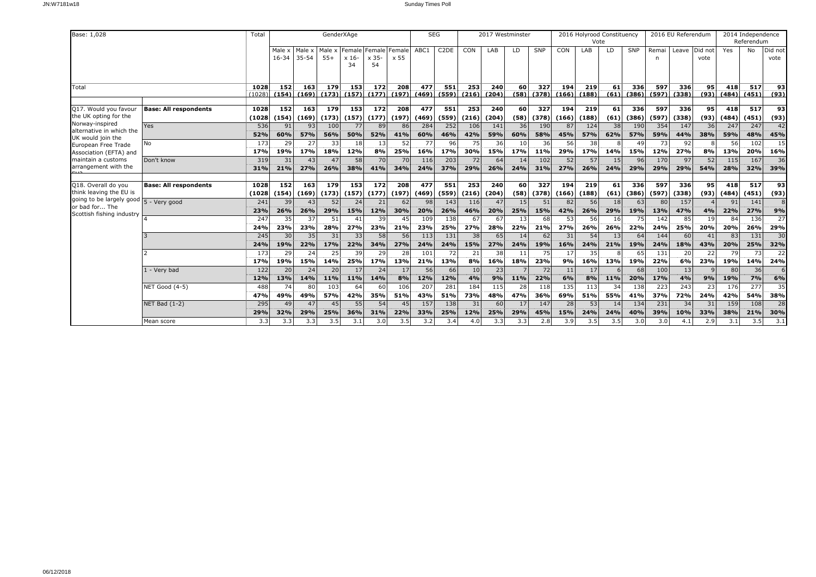| Base: 1,028                                 |                              | Total |        |           | GenderXAge       |         |                  |       | <b>SEG</b> |                   |       | 2017 Westminster |                 |                  |       | 2016 Holyrood Constituency |      |       |       | 2016 EU Referendum |         |       | 2014 Independence |                 |
|---------------------------------------------|------------------------------|-------|--------|-----------|------------------|---------|------------------|-------|------------|-------------------|-------|------------------|-----------------|------------------|-------|----------------------------|------|-------|-------|--------------------|---------|-------|-------------------|-----------------|
|                                             |                              |       |        |           |                  |         |                  |       |            |                   |       |                  |                 |                  |       | Vote                       |      |       |       |                    |         |       | Referendum        |                 |
|                                             |                              |       | Male x | Male x    | Male x           | Female  | Female Female    |       | ABC1       | C <sub>2</sub> DE | CON   | LAB              | LD              | SNP              | CON   | LAB                        | LD   | SNP   | Remai | Leave              | Did not | Yes   | No                | Did not         |
|                                             |                              |       | 16-34  | $35 - 54$ | $55+$            | $x 16-$ | $\times 35-$     | x 55  |            |                   |       |                  |                 |                  |       |                            |      |       |       |                    | vote    |       |                   | vote            |
|                                             |                              |       |        |           |                  | 34      | 54               |       |            |                   |       |                  |                 |                  |       |                            |      |       |       |                    |         |       |                   |                 |
|                                             |                              |       |        |           |                  |         |                  |       |            |                   |       |                  |                 |                  |       |                            |      |       |       |                    |         |       |                   |                 |
| Total                                       |                              | 1028  | 152    | 163       | 179              | 153     | 172              | 208   | 477        | 551               | 253   | 240              | 60              | 327              | 194   | 219                        | 61   | 336   | 597   | 336                | 95      | 418   | 517               | 93              |
|                                             |                              | (1028 | (154)  | (169)     | (173)            | (157)   | (177)            | (197) | (469)      | (559)             | (216) | (204)            | (58)            | (378)            | (166) | (188)                      | (61) | (386) | (597) | (338)              | (93)    | (484) | (451)             | (93)            |
|                                             |                              |       |        |           |                  |         |                  |       |            |                   |       |                  |                 |                  |       |                            |      |       |       |                    |         |       |                   |                 |
| Q17. Would you favour                       | <b>Base: All respondents</b> | 1028  | 152    | 163       | $\overline{179}$ | 153     | 172              | 208   | 477        | 551               | 253   | 240              | 60              | $\overline{327}$ | 194   | 219                        | 61   | 336   | 597   | 336                | 95      | 418   | 517               | 93              |
| the UK opting for the                       |                              | (1028 | (154)  | (169)     | (173)            | (157)   | (177)            | (197) | (469)      | (559)             | (216) | (204)            | (58)            | (378)            | (166) | (188)                      | (61) | (386) | (597) | (338)              | (93)    | (484) | (451)             | (93)            |
| Norway-inspired<br>alternative in which the | Yes                          | 536   | 91     | 93        | 100              | 77      | 89               | 86    | 284        | 252               | 106   | 141              | 36              | 190              | 87    | 124                        | 38   | 190   | 354   | 147                | 36      | 247   | 247               | 42              |
| UK would join the                           |                              | 52%   | 60%    | 57%       | 56%              | 50%     | 52%              | 41%   | 60%        | 46%               | 42%   | 59%              | 60%             | 58%              | 45%   | 57%                        | 62%  | 57%   | 59%   | 44%                | 38%     | 59%   | 48%               | 45%             |
| European Free Trade                         | No                           | 173   | 29     | 27        | 33               | 18      | 13               | 52    | 77         | 96                | 75    | 36               | 10 <sup>1</sup> | 36               | 56    | 38                         |      | 49    | 73    | 92                 |         | 56    | 102               | 15              |
| Association (EFTA) and                      |                              | 17%   | 19%    | 17%       | 18%              | 12%     | 8%               | 25%   | 16%        | 17%               | 30%   | 15%              | 17%             | 11%              | 29%   | 17%                        | 14%  | 15%   | 12%   | 27%                | 8%      | 13%   | 20%               | 16%             |
| maintain a customs                          | Don't know                   | 319   | 31     | 43        | 47               | 58      | 70               | 70    | 116        | 203               | 72    | 64               | 14              | 102              | 52    | 57                         | 15   | 96    | 170   | 97                 | 52      | 115   | 167               | 36              |
| arrangement with the                        |                              | 31%   | 21%    | 27%       | 26%              | 38%     | 41%              | 34%   | 24%        | 37%               | 29%   | 26%              | 24%             | 31%              | 27%   | 26%                        | 24%  | 29%   | 29%   | 29%                | 54%     | 28%   | 32%               | 39%             |
|                                             |                              |       |        |           |                  |         |                  |       |            |                   |       |                  |                 |                  |       |                            |      |       |       |                    |         |       |                   |                 |
| Q18. Overall do you                         | <b>Base: All respondents</b> | 1028  | $152$  | 163       | 179              | 153     | $\overline{172}$ | 208   | 477        | 551               | 253   | 240              | 60              | $\overline{327}$ | 194   | 219                        | 61   | 336   | 597   | 336                | 95      | 418   | 517               | 93              |
| think leaving the EU is                     |                              | (1028 | (154)  | (169)     | (173)            | (157)   | (177)            | (197) | (469)      | (559)             | (216) | (204)            | (58)            | (378)            | (166) | (188)                      | (61) | (386) | (597) | (338)              | (93)    | (484) | (451)             | (93)            |
| going to be largely good 5 - Very good      |                              | 241   | 39     | 43        | 52               | 24      | 21               | 62    | 98         | 143               | 116   | 47               | 15 <sub>1</sub> | 51               | 82    | 56                         | 18   | 63    | 80    | 157                |         | 91    | 141               |                 |
| or bad for The<br>Scottish fishing industry |                              | 23%   | 26%    | 26%       | 29%              | 15%     | 12%              | 30%   | 20%        | 26%               | 46%   | 20%              | 25%             | 15%              | 42%   | 26%                        | 29%  | 19%   | 13%   | 47%                | 4%      | 22%   | 27%               | 9%              |
|                                             |                              | 247   | 35     | 37        | 51               | 41      | 39               | 45    | 109        | 138               | 67    | 67               | 13              | 68               | 53    | 56                         | 16   | 75    | 142   | 85                 | 19      | 84    | 136               | 27              |
|                                             |                              | 24%   | 23%    | 23%       | 28%              | 27%     | 23%              | 21%   | 23%        | 25%               | 27%   | 28%              | 22%             | 21%              | 27%   | 26%                        | 26%  | 22%   | 24%   | 25%                | 20%     | 20%   | 26%               | 29%             |
|                                             |                              | 245   | 30     | 35        | 31               | 33      | 58               | 56    | 113        | 131               | 38    | 65               | 14              | 62               | 31    | 54                         | 13   | 64    | 144   | 60                 | 41      | 83    | 131               | 30              |
|                                             |                              | 24%   | 19%    | 22%       | 17%              | 22%     | 34%              | 27%   | 24%        | 24%               | 15%   | 27%              | 24%             | 19%              | 16%   | 24%                        | 21%  | 19%   | 24%   | 18%                | 43%     | 20%   | 25%               | 32%             |
|                                             |                              | 173   | 29     | 24        | 25               | 39      | 29               | 28    | 101        | 72                | 21    | 38               | 11              | 75               | 17    | 35                         |      | 65    | 131   | 20                 | 22      | 79    | 73                | $\overline{22}$ |
|                                             |                              | 17%   | 19%    | 15%       | 14%              | 25%     | 17%              | 13%   | 21%        | 13%               | 8%    | 16%              | 18%             | 23%              | 9%    | 16%                        | 13%  | 19%   | 22%   | 6%                 | 23%     | 19%   | 14%               | 24%             |
|                                             | 1 - Verv bad                 | 122   | 20     | 24        | 20               | 17      | 24               | 17    | 56         | 66                | 10    | 23               |                 | 72               | 11    | 17                         |      | 68    | 100   | 13                 |         | 80    | 36                |                 |
|                                             |                              | 12%   | 13%    | 14%       | 11%              | 11%     | 14%              | 8%    | 12%        | 12%               | 4%    | 9%               | 11%             | 22%              | 6%    | 8%                         | 11%  | 20%   | 17%   | 4%                 | 9%      | 19%   | <b>7%</b>         | 6%              |
|                                             | NET Good (4-5)               | 488   | 74     | 80        | 103              | 64      | 60               | 106   | 207        | 281               | 184   | 115              | 28              | 118              | 135   | 113                        | 34   | 138   | 223   | 243                | 23      | 176   | 277               | 35              |
|                                             |                              | 47%   | 49%    | 49%       | 57%              | 42%     | 35%              | 51%   | 43%        | 51%               | 73%   | 48%              | 47%             | 36%              | 69%   | 51%                        | 55%  | 41%   | 37%   | 72%                | 24%     | 42%   | 54%               | 38%             |
|                                             | NET Bad (1-2)                | 295   | 49     | 47        | 45               | 55      | 54               | 45    | 157        | 138               | 31    | 60               | 17              | 147              | 28    | 53                         | 14   | 134   | 231   | 34                 | 31      | 159   | 108               | 28              |
|                                             |                              | 29%   | 32%    | 29%       | 25%              | 36%     | 31%              | 22%   | 33%        | 25%               | 12%   | 25%              | 29%             | 45%              | 15%   | 24%                        | 24%  | 40%   | 39%   | 10%                | 33%     | 38%   | 21%               | 30%             |
|                                             | Mean score                   | 3.3   | 3.3    | 3.3       | 3.5              | 3.1     | 3.0              | 3.5   | 3.2        | 3,4               | 4.0   | 3.3              | 3.3             | 2.8              | 3.9   | 3.5                        | 3.5  | 3.0   | 3.0   | 4.1                | 2.9     | 3.1   | 3.5               | 3.1             |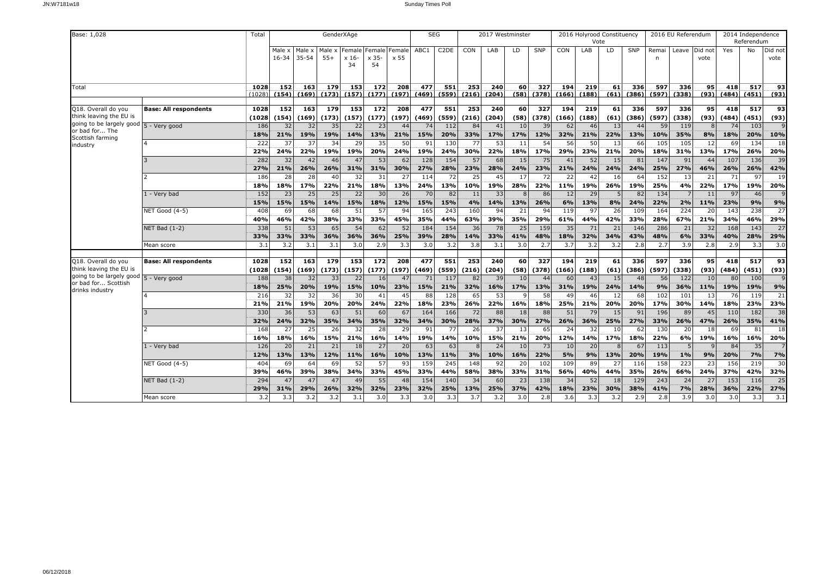| Base: 1,028                                                                      |                              | Total             |                 |                 | GenderXAge      |                          |                              |                 | <b>SEG</b>        |                   |                 | 2017 Westminster |                 |                 |                 | 2016 Holyrood Constituency<br>Vote |                 |                 |                   | 2016 EU Referendum |                 |                  | 2014 Independence<br>Referendum |                         |
|----------------------------------------------------------------------------------|------------------------------|-------------------|-----------------|-----------------|-----------------|--------------------------|------------------------------|-----------------|-------------------|-------------------|-----------------|------------------|-----------------|-----------------|-----------------|------------------------------------|-----------------|-----------------|-------------------|--------------------|-----------------|------------------|---------------------------------|-------------------------|
|                                                                                  |                              |                   | Male x<br>16-34 | Male x<br>35-54 | Male x<br>$55+$ | Female<br>$x 16$ -<br>34 | Female Female<br>x 35-<br>54 | x 55            | ABC1              | C <sub>2</sub> DE | CON             | LAB              | LD.             | SNP             | CON             | LAB                                | LD              | SNP             | Remai<br>n        | Leave              | Did not<br>vote | Yes              | No                              | Did not<br>vote         |
| Total                                                                            |                              | 1028<br>(1028)    | 152<br>(154)    | 163<br>(169)    | 179<br>(173)    | 153<br>(157)             | 172<br>(177)                 | 208<br>(197)    | 477<br>(469)      | 551<br>(559)      | 253<br>(216)    | 240<br>(204)     | 60<br>(58)      | 327<br>(378)    | 194<br>(166)    | 219<br>(188)                       | 61<br>(61)      | 336<br>(386)    | 597<br>(597)      | 336<br>(338)       | 95<br>(93)      | 418<br>(484)     | 517<br>(451)                    | 93<br>(93)              |
| Q18. Overall do you<br>think leaving the EU is                                   | <b>Base: All respondents</b> | 1028<br>(1028     | 152<br>(154)    | 163<br>(169)    | 179<br>(173)    | 153<br>(157)             | 172<br>(177)                 | 208<br>(197)    | 477<br>(469)      | 551<br>(559)      | 253<br>(216)    | 240<br>(204)     | 60<br>(58)      | 327<br>(378)    | 194<br>(166)    | 219<br>(188)                       | 61<br>(61)      | 336<br>(386)    | 597<br>(597)      | 336<br>(338)       | 95<br>(93)      | 418<br>(484)     | 517<br>(451)                    | 93<br>(93)              |
| going to be largely good 5 - Very good<br>or bad for The<br>Scottish farming     |                              | 186<br>18%        | 32<br>21%       | 32<br>19%       | 35<br>19%       | 22<br>14%                | 23<br>13%                    | 44<br>21%       | 74<br>15%         | 112<br>20%        | 84<br>33%       | 41<br>17%        | 10<br>17%       | 39<br>12%       | 62<br>32%       | 46<br>21%                          | 13<br>22%       | 44<br>13%       | 59<br>10%         | 119<br>35%         | 8<br>8%         | 74<br>18%        | 103<br>20%                      | 10%                     |
| industry                                                                         |                              | 222<br>22%        | 37<br>24%       | 37<br>22%       | 34<br>19%       | 29<br>19%                | 35<br>20%                    | 50<br>24%       | 91<br>19%         | 130<br>24%        | 77<br>30%       | 53<br>22%        | 11<br>18%       | 54<br>17%       | 56<br>29%       | 50<br>23%                          | 13<br>21%       | 66<br>20%       | 105<br>18%        | 105<br>31%         | 12<br>13%       | 69<br>17%        | 134<br>26%                      | 18<br>20%               |
|                                                                                  |                              | 282<br>27%<br>186 | 32<br>21%<br>28 | 42<br>26%<br>28 | 46<br>26%<br>40 | 47<br>31%<br>32          | 53<br>31%<br>31              | 62<br>30%<br>27 | 128<br>27%<br>114 | 154<br>28%<br>72  | 57<br>23%<br>25 | 68<br>28%<br>45  | 15<br>24%<br>17 | 75<br>23%<br>72 | 41<br>21%<br>22 | 52<br>24%<br>42                    | 15<br>24%<br>16 | 81<br>24%<br>64 | 147<br>25%<br>152 | 91<br>27%<br>13    | 44<br>46%<br>21 | 107<br>26%<br>71 | 136<br>26%<br>97                | 39<br>42%<br>19         |
|                                                                                  | 1 - Very bad                 | 18%<br>152        | 18%<br>23       | 17%<br>25       | 22%<br>25       | 21%<br>22                | 18%<br>30                    | 13%<br>26       | 24%<br>70         | 13%<br>82         | 10%<br>11       | 19%<br>33        | 28%             | 22%<br>86       | 11%<br>12       | 19%<br>29                          | 26%<br>5        | 19%<br>82       | 25%<br>134        | 4%                 | 22%<br>11       | 17%<br>97        | 19%<br>46                       | 20%                     |
|                                                                                  | <b>NET Good (4-5)</b>        | 15%<br>408        | 15%<br>69       | 15%<br>68       | 14%<br>68       | 15%<br>51                | 18%<br>57                    | 12%<br>94       | 15%<br>165        | 15%<br>243        | 4%<br>160       | 14%<br>94        | 13%<br>21       | 26%<br>94       | 6%<br>119       | 13%<br>97                          | 8%<br>26        | 24%<br>109      | 22%<br>164        | 2%<br>224          | 11%<br>20       | 23%<br>143       | 9%<br>238                       | 9%<br>27                |
|                                                                                  | <b>NET Bad (1-2)</b>         | 40%<br>338        | 46%<br>51       | 42%<br>53       | 38%<br>65       | 33%<br>54                | 33%<br>62                    | 45%<br>52       | 35%<br>184        | 44%<br>154        | 63%<br>36       | 39%<br>78        | 35%<br>25       | 29%<br>159      | 61%<br>35       | 44%<br>71                          | 42%<br>21       | 33%<br>146      | 28%<br>286        | 67%<br>21          | 21%<br>32       | 34%<br>168       | 46%<br>143                      | 29%<br>27               |
|                                                                                  | Mean score                   | 33%<br>3.1        | 33%<br>3.2      | 33%<br>3.1      | 36%<br>3.1      | 36%<br>3.0               | 36%<br>2.9                   | 25%<br>3.3      | 39%<br>3.0        | 28%<br>3.2        | 14%<br>3.8      | 33%<br>3.1       | 41%<br>3.0      | 48%<br>2.7      | 18%<br>3.7      | 32%<br>3.2                         | 34%<br>3.2      | 43%<br>2.8      | 48%<br>2.7        | 6%<br>3.9          | 33%<br>2.8      | 40%<br>2.9       | 28%<br>3.3                      | 29%<br>$\overline{3.0}$ |
| Q18. Overall do you<br>think leaving the EU is                                   | <b>Base: All respondents</b> | 1028<br>(1028     | 152<br>(154)    | 163<br>(169)    | 179<br>(173)    | 153<br>(157)             | 172<br>(177)                 | 208<br>(197)    | 477<br>(469)      | 551<br>(559)      | 253<br>(216)    | 240<br>(204)     | 60<br>(58)      | 327<br>(378)    | 194<br>(166)    | 219<br>(188)                       | 61<br>(61)      | 336<br>(386)    | 597<br>(597)      | 336<br>(338)       | 95<br>(93)      | 418<br>(484)     | 517<br>(451)                    | 93<br>(93)              |
| going to be largely good 5 - Very good<br>or bad for Scottish<br>drinks industry |                              | 188<br>18%        | 38<br>25%       | 32<br>20%       | 33<br>19%       | 22<br>15%                | 16<br>10%                    | 47<br>23%       | 71<br>15%         | 117<br>21%        | 82<br>32%       | 39<br>16%        | 10<br>17%       | 44<br>13%       | 60<br>31%       | 43<br>19%                          | 15<br>24%       | 48<br>14%       | 56<br>9%          | 122<br>36%         | 10<br>11%       | 80<br>19%        | 100<br>19%                      | 9%                      |
|                                                                                  |                              | 216<br>21%<br>330 | 32<br>21%<br>36 | 32<br>19%<br>53 | 36<br>20%<br>63 | 30<br>20%<br>51          | 41<br>24%<br>60              | 45<br>22%<br>67 | 88<br>18%<br>164  | 128<br>23%<br>166 | 65<br>26%<br>72 | 53<br>22%<br>88  | 16%<br>18       | 58<br>18%<br>88 | 49<br>25%<br>51 | 46<br>21%<br>79                    | 12<br>20%<br>15 | 68<br>20%<br>91 | 102<br>17%<br>196 | 101<br>30%<br>89   | 13<br>14%<br>45 | 76<br>18%<br>110 | 119<br>23%<br>182               | 21<br>23%<br>38         |
|                                                                                  |                              | 32%<br>168        | 24%<br>27       | 32%<br>25       | 35%<br>26       | 34%<br>32                | 35%<br>28                    | 32%<br>29       | 34%<br>91         | 30%<br>77         | 28%<br>26       | 37%<br>37        | 30%<br>13       | 27%<br>65       | 26%<br>24       | 36%<br>32                          | 25%<br>10       | 27%<br>62       | 33%<br>130        | 26%<br>20          | 47%<br>18       | 26%<br>69        | 35%<br>81                       | 41%<br>18               |
|                                                                                  | 1 - Very bad                 | 16%<br>126        | 18%<br>20       | 16%<br>21       | 15%<br>21       | 21%<br>18                | 16%<br>27                    | 14%<br>20       | 19%<br>63         | 14%<br>63         | 10%             | 15%<br>24        | 21%<br>10       | 20%<br>73       | 12%<br>10       | 14%<br>20                          | 17%             | 18%<br>67       | 22%<br>113        | 6%                 | 19%             | 16%<br>84        | 16%<br>35                       | 20%                     |
|                                                                                  | <b>NET Good (4-5)</b>        | 12%<br>404        | 13%<br>69       | 13%<br>64       | 12%<br>69       | 11%<br>52                | 16%<br>57                    | 10%<br>93       | 13%<br>159        | 11%<br>245        | 3%<br>148       | 10%<br>92        | 16%<br>20       | 22%<br>102      | 5%<br>109       | 9%<br>89                           | 13%<br>27       | 20%<br>116      | 19%<br>158        | 1%<br>223          | 9%<br>23        | 20%<br>156       | 7%<br>219                       | 7%<br>30                |
|                                                                                  | <b>NET Bad (1-2)</b>         | 39%<br>294        | 46%<br>47       | 39%<br>47       | 38%<br>47       | 34%<br>49                | 33%<br>55                    | 45%<br>48       | 33%<br>154        | 44%<br>140        | 58%<br>34       | 38%<br>60        | 33%<br>23       | 31%<br>138      | 56%<br>34       | 40%<br>52                          | 44%<br>18       | 35%<br>129      | 26%<br>243        | 66%<br>24          | 24%<br>27       | 37%<br>153       | 42%<br>116                      | 32%<br>25               |
|                                                                                  | Mean score                   | 29%<br>3.2        | 31%<br>3.3      | 29%<br>3.2      | 26%<br>3.2      | 32%<br>3.1               | 32%<br>3.0                   | 23%<br>3.3      | 32%<br>3.0        | 25%<br>3.3        | 13%<br>3.7      | 25%<br>3.2       | 37%<br>3.0      | 42%<br>2.8      | 18%<br>3.6      | 23%<br>3.3                         | 30%<br>3.2      | 38%<br>2.9      | 41%<br>2.8        | 7%<br>3.9          | 28%<br>3.0      | 36%<br>3.0       | 22%<br>3.3                      | 27%<br>3.1              |